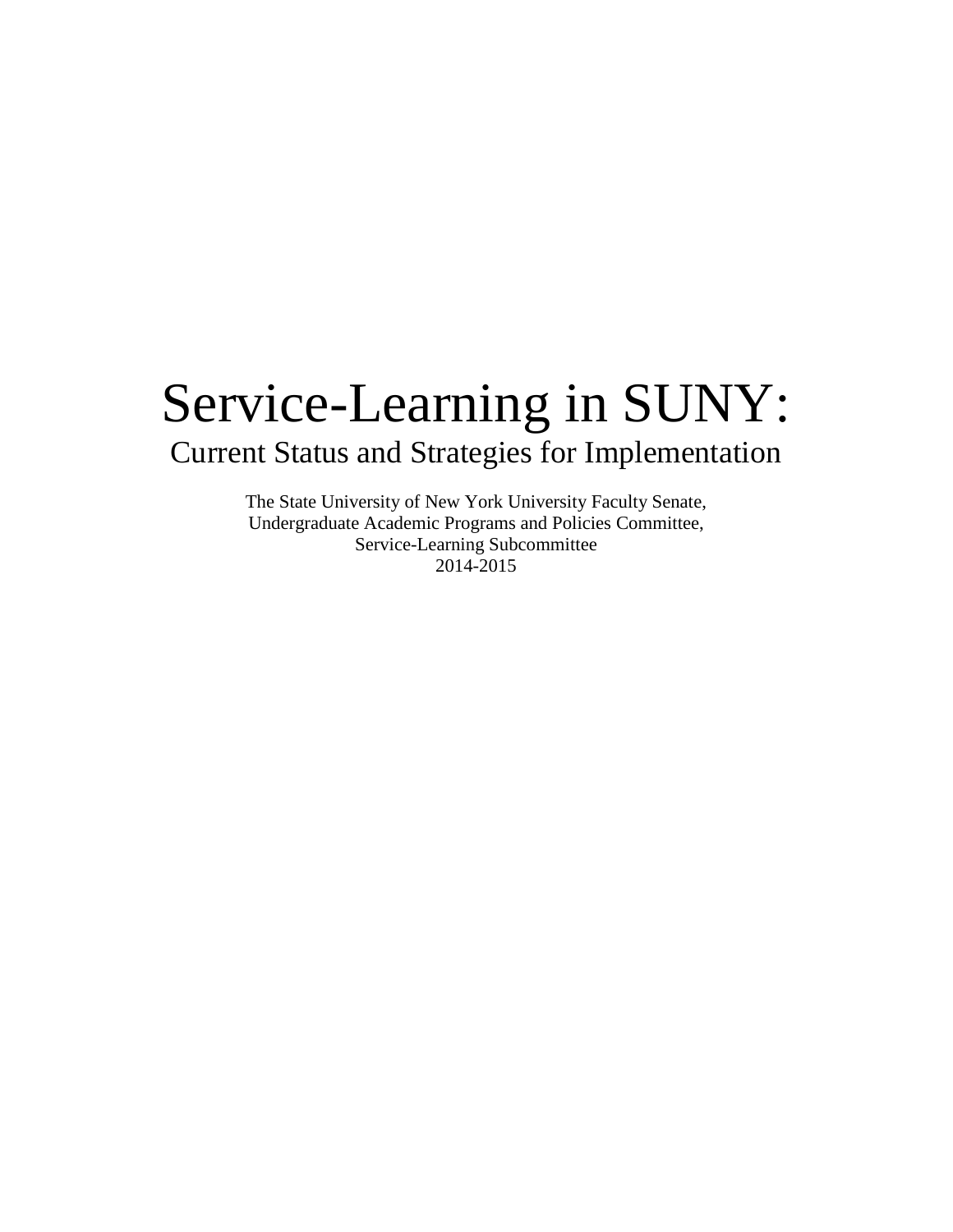# Service-Learning in SUNY: Current Status and Strategies for Implementation

The State University of New York University Faculty Senate, Undergraduate Academic Programs and Policies Committee, Service-Learning Subcommittee 2014-2015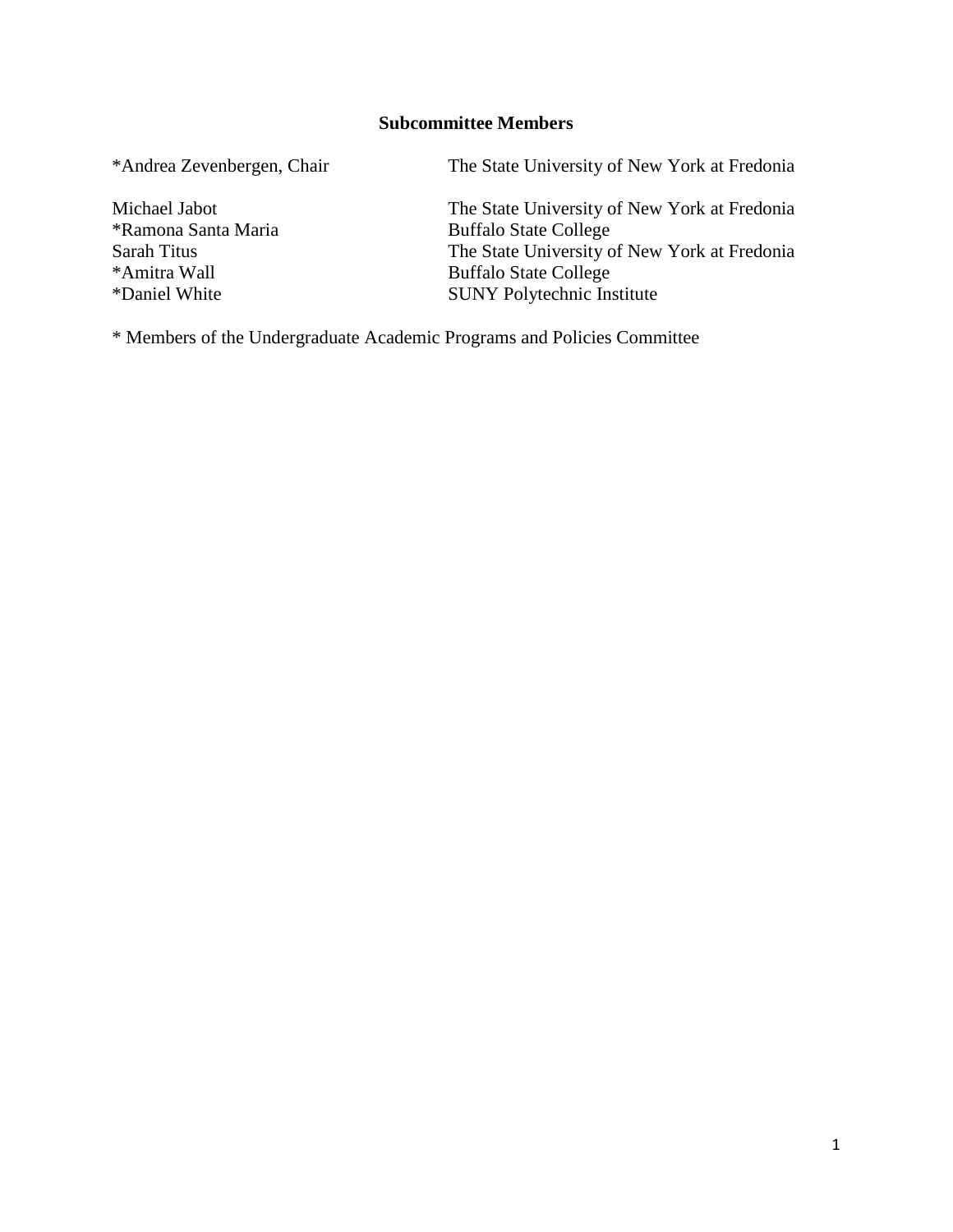### **Subcommittee Members**

\*Andrea Zevenbergen, Chair The State University of New York at Fredonia

\*Daniel White SUNY Polytechnic Institute

Michael Jabot The State University of New York at Fredonia \*Ramona Santa Maria buffalo State College Sarah Titus The State University of New York at Fredonia \*Amitra Wall Buffalo State College

\* Members of the Undergraduate Academic Programs and Policies Committee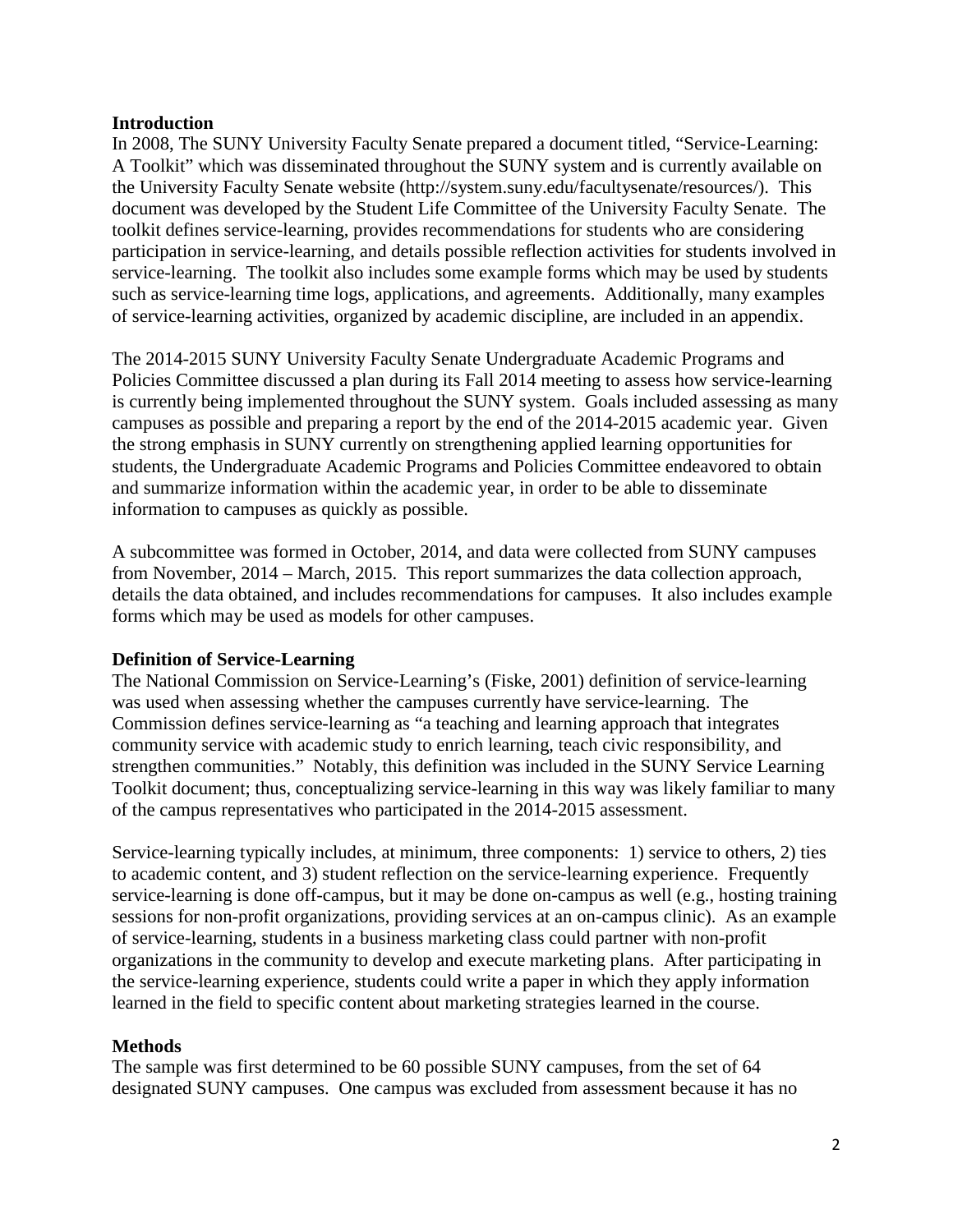### **Introduction**

In 2008, The SUNY University Faculty Senate prepared a document titled, "Service-Learning: A Toolkit" which was disseminated throughout the SUNY system and is currently available on the University Faculty Senate website (http://system.suny.edu/facultysenate/resources/). This document was developed by the Student Life Committee of the University Faculty Senate. The toolkit defines service-learning, provides recommendations for students who are considering participation in service-learning, and details possible reflection activities for students involved in service-learning. The toolkit also includes some example forms which may be used by students such as service-learning time logs, applications, and agreements. Additionally, many examples of service-learning activities, organized by academic discipline, are included in an appendix.

The 2014-2015 SUNY University Faculty Senate Undergraduate Academic Programs and Policies Committee discussed a plan during its Fall 2014 meeting to assess how service-learning is currently being implemented throughout the SUNY system. Goals included assessing as many campuses as possible and preparing a report by the end of the 2014-2015 academic year. Given the strong emphasis in SUNY currently on strengthening applied learning opportunities for students, the Undergraduate Academic Programs and Policies Committee endeavored to obtain and summarize information within the academic year, in order to be able to disseminate information to campuses as quickly as possible.

A subcommittee was formed in October, 2014, and data were collected from SUNY campuses from November, 2014 – March, 2015. This report summarizes the data collection approach, details the data obtained, and includes recommendations for campuses. It also includes example forms which may be used as models for other campuses.

### **Definition of Service-Learning**

The National Commission on Service-Learning's (Fiske, 2001) definition of service-learning was used when assessing whether the campuses currently have service-learning. The Commission defines service-learning as "a teaching and learning approach that integrates community service with academic study to enrich learning, teach civic responsibility, and strengthen communities." Notably, this definition was included in the SUNY Service Learning Toolkit document; thus, conceptualizing service-learning in this way was likely familiar to many of the campus representatives who participated in the 2014-2015 assessment.

Service-learning typically includes, at minimum, three components: 1) service to others, 2) ties to academic content, and 3) student reflection on the service-learning experience. Frequently service-learning is done off-campus, but it may be done on-campus as well (e.g., hosting training sessions for non-profit organizations, providing services at an on-campus clinic). As an example of service-learning, students in a business marketing class could partner with non-profit organizations in the community to develop and execute marketing plans. After participating in the service-learning experience, students could write a paper in which they apply information learned in the field to specific content about marketing strategies learned in the course.

### **Methods**

The sample was first determined to be 60 possible SUNY campuses, from the set of 64 designated SUNY campuses. One campus was excluded from assessment because it has no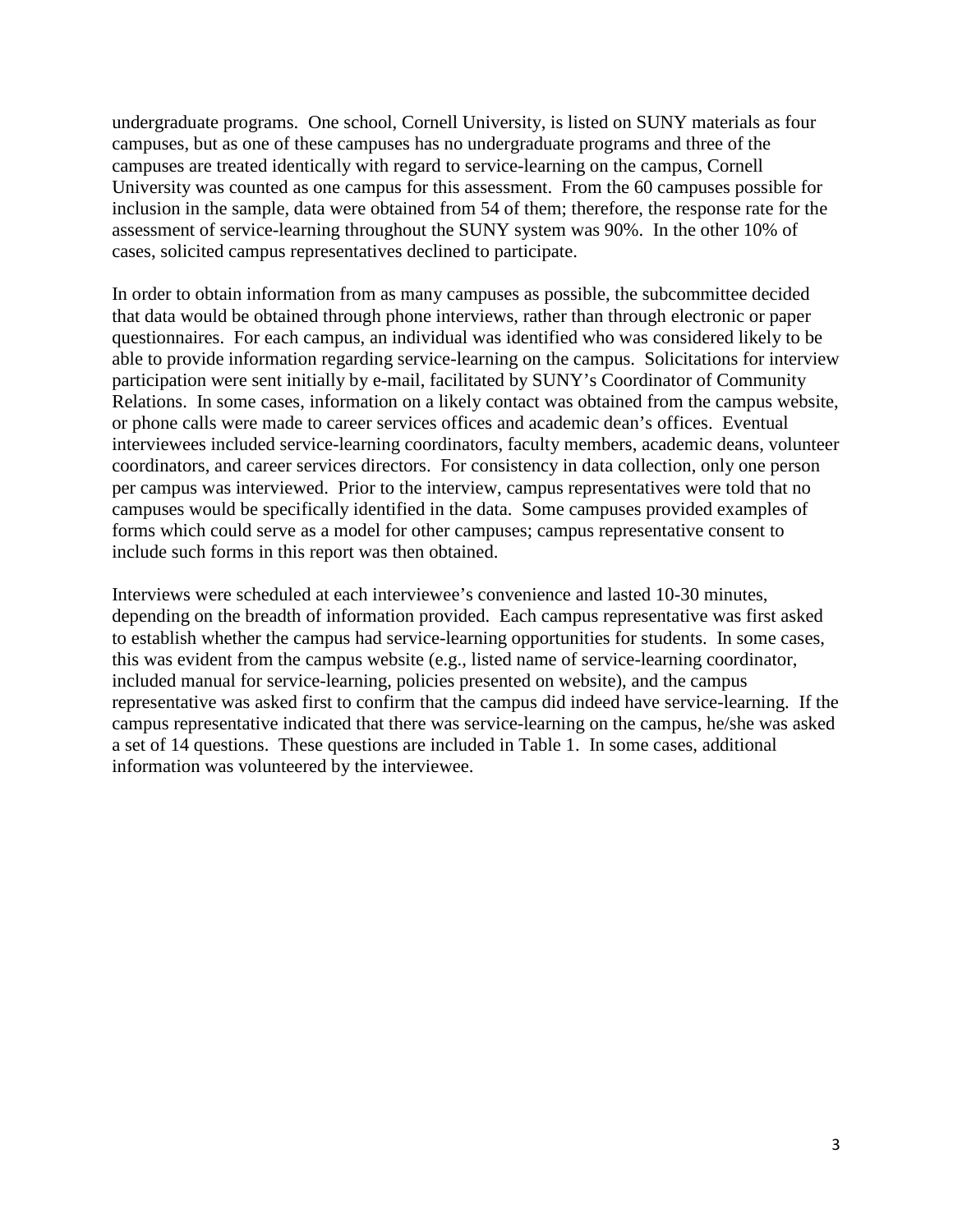undergraduate programs. One school, Cornell University, is listed on SUNY materials as four campuses, but as one of these campuses has no undergraduate programs and three of the campuses are treated identically with regard to service-learning on the campus, Cornell University was counted as one campus for this assessment. From the 60 campuses possible for inclusion in the sample, data were obtained from 54 of them; therefore, the response rate for the assessment of service-learning throughout the SUNY system was 90%. In the other 10% of cases, solicited campus representatives declined to participate.

In order to obtain information from as many campuses as possible, the subcommittee decided that data would be obtained through phone interviews, rather than through electronic or paper questionnaires. For each campus, an individual was identified who was considered likely to be able to provide information regarding service-learning on the campus. Solicitations for interview participation were sent initially by e-mail, facilitated by SUNY's Coordinator of Community Relations. In some cases, information on a likely contact was obtained from the campus website, or phone calls were made to career services offices and academic dean's offices. Eventual interviewees included service-learning coordinators, faculty members, academic deans, volunteer coordinators, and career services directors. For consistency in data collection, only one person per campus was interviewed. Prior to the interview, campus representatives were told that no campuses would be specifically identified in the data. Some campuses provided examples of forms which could serve as a model for other campuses; campus representative consent to include such forms in this report was then obtained.

Interviews were scheduled at each interviewee's convenience and lasted 10-30 minutes, depending on the breadth of information provided. Each campus representative was first asked to establish whether the campus had service-learning opportunities for students. In some cases, this was evident from the campus website (e.g., listed name of service-learning coordinator, included manual for service-learning, policies presented on website), and the campus representative was asked first to confirm that the campus did indeed have service-learning. If the campus representative indicated that there was service-learning on the campus, he/she was asked a set of 14 questions. These questions are included in Table 1. In some cases, additional information was volunteered by the interviewee.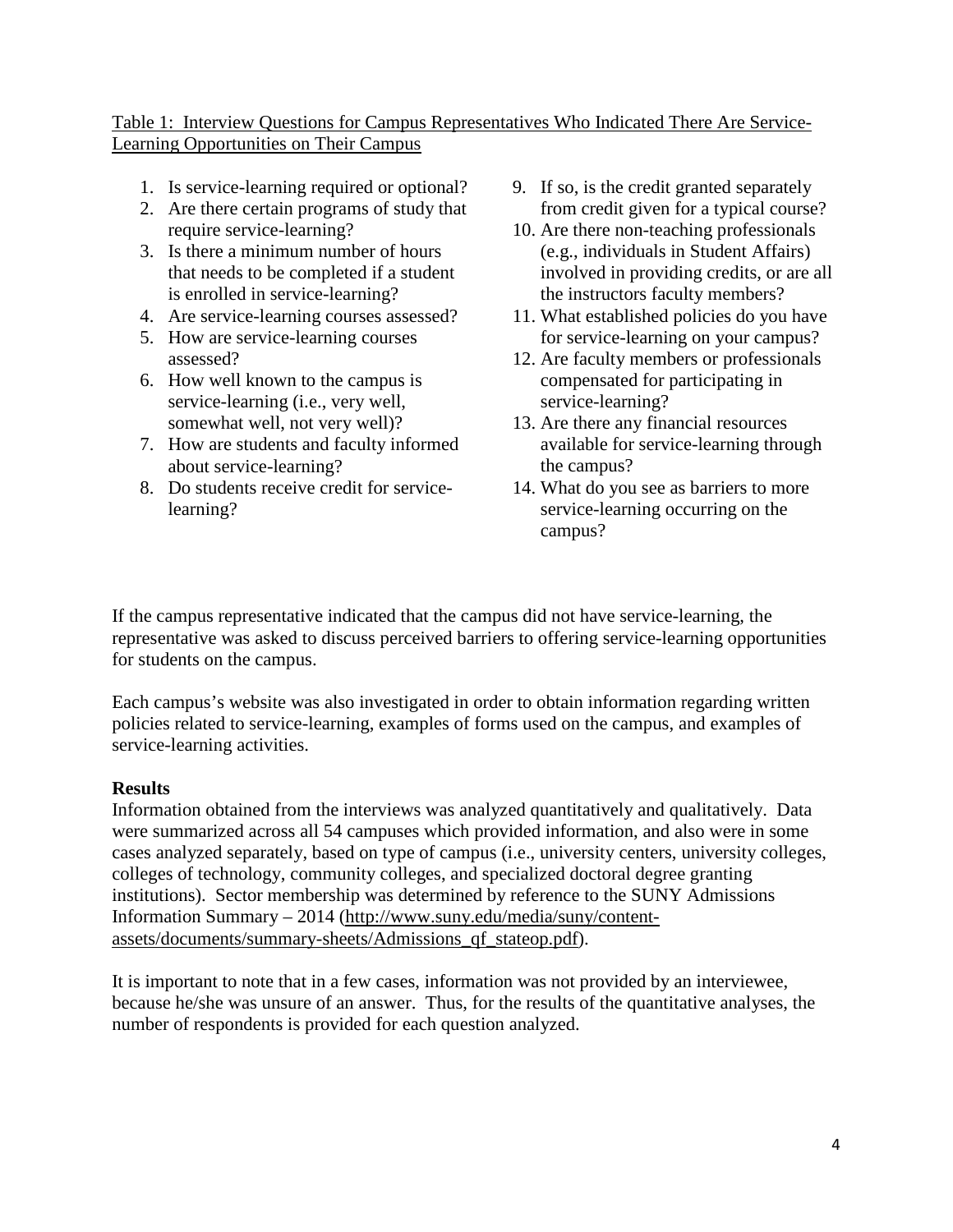### Table 1: Interview Questions for Campus Representatives Who Indicated There Are Service-Learning Opportunities on Their Campus

- 1. Is service-learning required or optional?
- 2. Are there certain programs of study that require service-learning?
- 3. Is there a minimum number of hours that needs to be completed if a student is enrolled in service-learning?
- 4. Are service-learning courses assessed?
- 5. How are service-learning courses assessed?
- 6. How well known to the campus is service-learning (i.e., very well, somewhat well, not very well)?
- 7. How are students and faculty informed about service-learning?
- 8. Do students receive credit for servicelearning?
- 9. If so, is the credit granted separately from credit given for a typical course?
- 10. Are there non-teaching professionals (e.g., individuals in Student Affairs) involved in providing credits, or are all the instructors faculty members?
- 11. What established policies do you have for service-learning on your campus?
- 12. Are faculty members or professionals compensated for participating in service-learning?
- 13. Are there any financial resources available for service-learning through the campus?
- 14. What do you see as barriers to more service-learning occurring on the campus?

If the campus representative indicated that the campus did not have service-learning, the representative was asked to discuss perceived barriers to offering service-learning opportunities for students on the campus.

Each campus's website was also investigated in order to obtain information regarding written policies related to service-learning, examples of forms used on the campus, and examples of service-learning activities.

### **Results**

Information obtained from the interviews was analyzed quantitatively and qualitatively. Data were summarized across all 54 campuses which provided information, and also were in some cases analyzed separately, based on type of campus (i.e., university centers, university colleges, colleges of technology, community colleges, and specialized doctoral degree granting institutions). Sector membership was determined by reference to the SUNY Admissions Information Summary – 2014 [\(http://www.suny.edu/media/suny/content](http://www.suny.edu/media/suny/content-assets/documents/summary-sheets/Admissions_qf_stateop.pdf)[assets/documents/summary-sheets/Admissions\\_qf\\_stateop.pdf\)](http://www.suny.edu/media/suny/content-assets/documents/summary-sheets/Admissions_qf_stateop.pdf).

It is important to note that in a few cases, information was not provided by an interviewee, because he/she was unsure of an answer. Thus, for the results of the quantitative analyses, the number of respondents is provided for each question analyzed.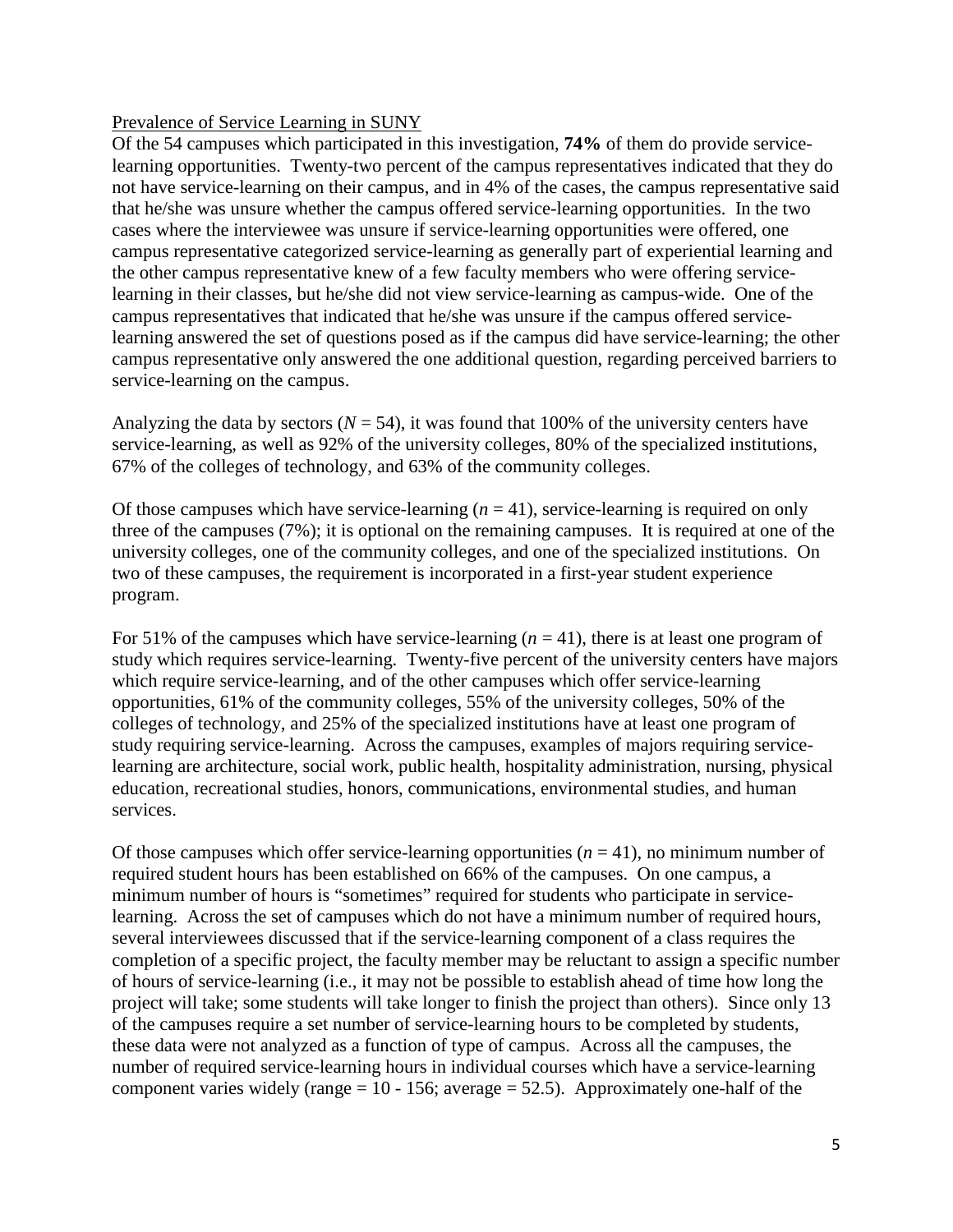### Prevalence of Service Learning in SUNY

Of the 54 campuses which participated in this investigation, **74%** of them do provide servicelearning opportunities. Twenty-two percent of the campus representatives indicated that they do not have service-learning on their campus, and in 4% of the cases, the campus representative said that he/she was unsure whether the campus offered service-learning opportunities. In the two cases where the interviewee was unsure if service-learning opportunities were offered, one campus representative categorized service-learning as generally part of experiential learning and the other campus representative knew of a few faculty members who were offering servicelearning in their classes, but he/she did not view service-learning as campus-wide. One of the campus representatives that indicated that he/she was unsure if the campus offered servicelearning answered the set of questions posed as if the campus did have service-learning; the other campus representative only answered the one additional question, regarding perceived barriers to service-learning on the campus.

Analyzing the data by sectors ( $N = 54$ ), it was found that 100% of the university centers have service-learning, as well as 92% of the university colleges, 80% of the specialized institutions, 67% of the colleges of technology, and 63% of the community colleges.

Of those campuses which have service-learning (*n* = 41), service-learning is required on only three of the campuses (7%); it is optional on the remaining campuses. It is required at one of the university colleges, one of the community colleges, and one of the specialized institutions. On two of these campuses, the requirement is incorporated in a first-year student experience program.

For 51% of the campuses which have service-learning  $(n = 41)$ , there is at least one program of study which requires service-learning. Twenty-five percent of the university centers have majors which require service-learning, and of the other campuses which offer service-learning opportunities, 61% of the community colleges, 55% of the university colleges, 50% of the colleges of technology, and 25% of the specialized institutions have at least one program of study requiring service-learning. Across the campuses, examples of majors requiring servicelearning are architecture, social work, public health, hospitality administration, nursing, physical education, recreational studies, honors, communications, environmental studies, and human services.

Of those campuses which offer service-learning opportunities  $(n = 41)$ , no minimum number of required student hours has been established on 66% of the campuses. On one campus, a minimum number of hours is "sometimes" required for students who participate in servicelearning. Across the set of campuses which do not have a minimum number of required hours, several interviewees discussed that if the service-learning component of a class requires the completion of a specific project, the faculty member may be reluctant to assign a specific number of hours of service-learning (i.e., it may not be possible to establish ahead of time how long the project will take; some students will take longer to finish the project than others). Since only 13 of the campuses require a set number of service-learning hours to be completed by students, these data were not analyzed as a function of type of campus. Across all the campuses, the number of required service-learning hours in individual courses which have a service-learning component varies widely (range =  $10 - 156$ ; average = 52.5). Approximately one-half of the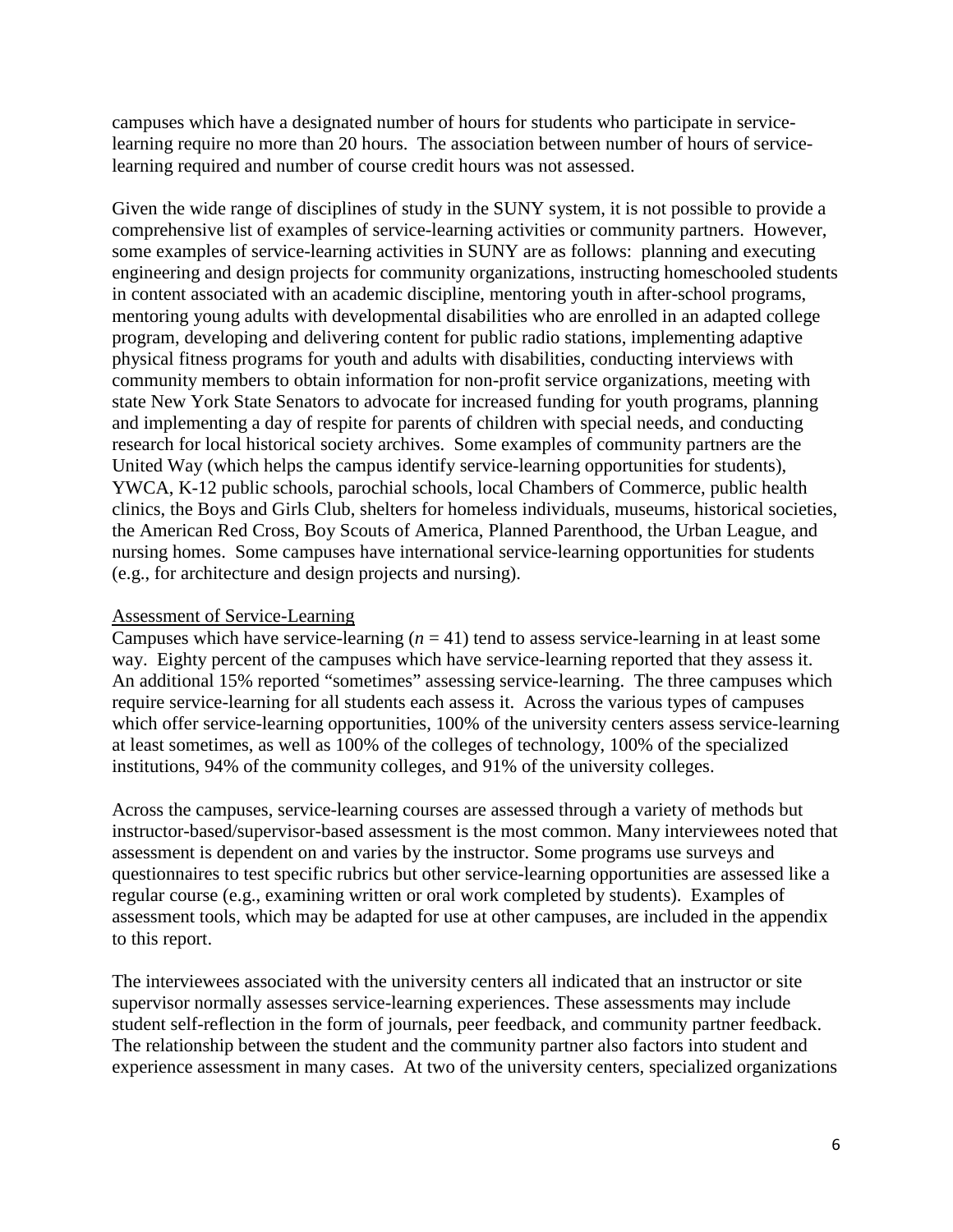campuses which have a designated number of hours for students who participate in servicelearning require no more than 20 hours. The association between number of hours of servicelearning required and number of course credit hours was not assessed.

Given the wide range of disciplines of study in the SUNY system, it is not possible to provide a comprehensive list of examples of service-learning activities or community partners. However, some examples of service-learning activities in SUNY are as follows: planning and executing engineering and design projects for community organizations, instructing homeschooled students in content associated with an academic discipline, mentoring youth in after-school programs, mentoring young adults with developmental disabilities who are enrolled in an adapted college program, developing and delivering content for public radio stations, implementing adaptive physical fitness programs for youth and adults with disabilities, conducting interviews with community members to obtain information for non-profit service organizations, meeting with state New York State Senators to advocate for increased funding for youth programs, planning and implementing a day of respite for parents of children with special needs, and conducting research for local historical society archives. Some examples of community partners are the United Way (which helps the campus identify service-learning opportunities for students), YWCA, K-12 public schools, parochial schools, local Chambers of Commerce, public health clinics, the Boys and Girls Club, shelters for homeless individuals, museums, historical societies, the American Red Cross, Boy Scouts of America, Planned Parenthood, the Urban League, and nursing homes. Some campuses have international service-learning opportunities for students (e.g., for architecture and design projects and nursing).

### Assessment of Service-Learning

Campuses which have service-learning  $(n = 41)$  tend to assess service-learning in at least some way. Eighty percent of the campuses which have service-learning reported that they assess it. An additional 15% reported "sometimes" assessing service-learning. The three campuses which require service-learning for all students each assess it. Across the various types of campuses which offer service-learning opportunities, 100% of the university centers assess service-learning at least sometimes, as well as 100% of the colleges of technology, 100% of the specialized institutions, 94% of the community colleges, and 91% of the university colleges.

Across the campuses, service-learning courses are assessed through a variety of methods but instructor-based/supervisor-based assessment is the most common. Many interviewees noted that assessment is dependent on and varies by the instructor. Some programs use surveys and questionnaires to test specific rubrics but other service-learning opportunities are assessed like a regular course (e.g., examining written or oral work completed by students). Examples of assessment tools, which may be adapted for use at other campuses, are included in the appendix to this report.

The interviewees associated with the university centers all indicated that an instructor or site supervisor normally assesses service-learning experiences. These assessments may include student self-reflection in the form of journals, peer feedback, and community partner feedback. The relationship between the student and the community partner also factors into student and experience assessment in many cases. At two of the university centers, specialized organizations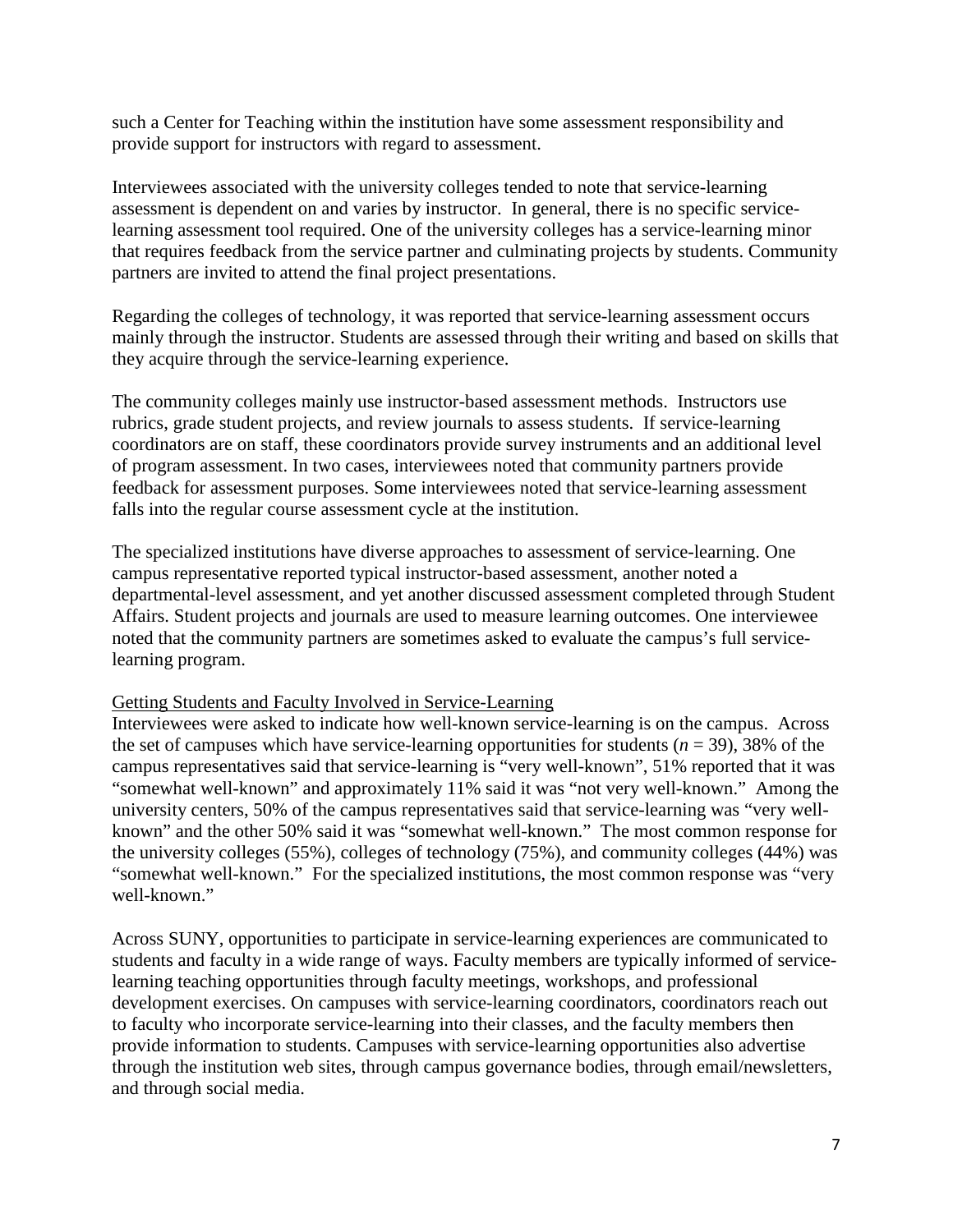such a Center for Teaching within the institution have some assessment responsibility and provide support for instructors with regard to assessment.

Interviewees associated with the university colleges tended to note that service-learning assessment is dependent on and varies by instructor. In general, there is no specific servicelearning assessment tool required. One of the university colleges has a service-learning minor that requires feedback from the service partner and culminating projects by students. Community partners are invited to attend the final project presentations.

Regarding the colleges of technology, it was reported that service-learning assessment occurs mainly through the instructor. Students are assessed through their writing and based on skills that they acquire through the service-learning experience.

The community colleges mainly use instructor-based assessment methods. Instructors use rubrics, grade student projects, and review journals to assess students. If service-learning coordinators are on staff, these coordinators provide survey instruments and an additional level of program assessment. In two cases, interviewees noted that community partners provide feedback for assessment purposes. Some interviewees noted that service-learning assessment falls into the regular course assessment cycle at the institution.

The specialized institutions have diverse approaches to assessment of service-learning. One campus representative reported typical instructor-based assessment, another noted a departmental-level assessment, and yet another discussed assessment completed through Student Affairs. Student projects and journals are used to measure learning outcomes. One interviewee noted that the community partners are sometimes asked to evaluate the campus's full servicelearning program.

### Getting Students and Faculty Involved in Service-Learning

Interviewees were asked to indicate how well-known service-learning is on the campus. Across the set of campuses which have service-learning opportunities for students  $(n = 39)$ , 38% of the campus representatives said that service-learning is "very well-known", 51% reported that it was "somewhat well-known" and approximately 11% said it was "not very well-known." Among the university centers, 50% of the campus representatives said that service-learning was "very wellknown" and the other 50% said it was "somewhat well-known." The most common response for the university colleges (55%), colleges of technology (75%), and community colleges (44%) was "somewhat well-known." For the specialized institutions, the most common response was "very well-known."

Across SUNY, opportunities to participate in service-learning experiences are communicated to students and faculty in a wide range of ways. Faculty members are typically informed of servicelearning teaching opportunities through faculty meetings, workshops, and professional development exercises. On campuses with service-learning coordinators, coordinators reach out to faculty who incorporate service-learning into their classes, and the faculty members then provide information to students. Campuses with service-learning opportunities also advertise through the institution web sites, through campus governance bodies, through email/newsletters, and through social media.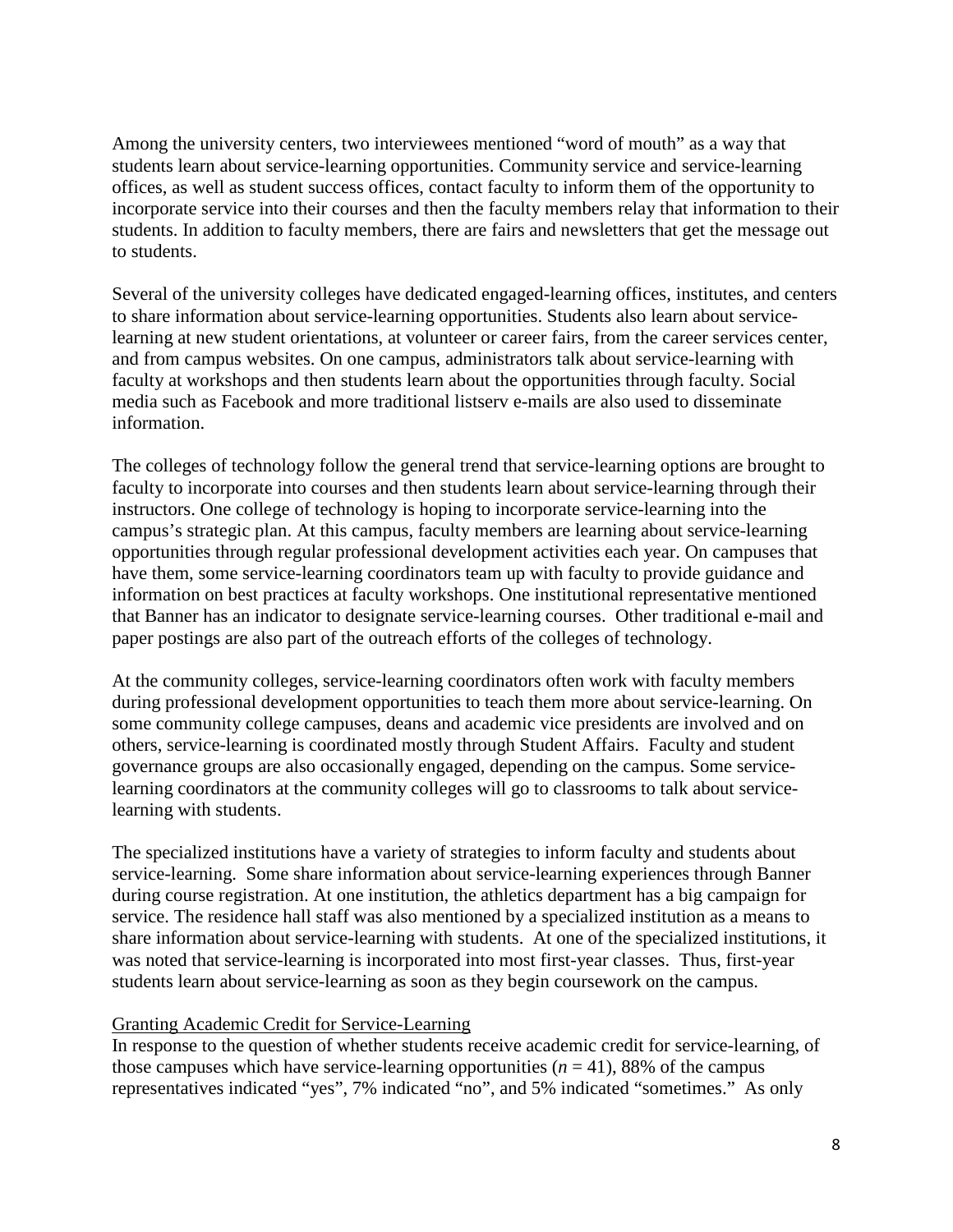Among the university centers, two interviewees mentioned "word of mouth" as a way that students learn about service-learning opportunities. Community service and service-learning offices, as well as student success offices, contact faculty to inform them of the opportunity to incorporate service into their courses and then the faculty members relay that information to their students. In addition to faculty members, there are fairs and newsletters that get the message out to students.

Several of the university colleges have dedicated engaged-learning offices, institutes, and centers to share information about service-learning opportunities. Students also learn about servicelearning at new student orientations, at volunteer or career fairs, from the career services center, and from campus websites. On one campus, administrators talk about service-learning with faculty at workshops and then students learn about the opportunities through faculty. Social media such as Facebook and more traditional listserv e-mails are also used to disseminate information.

The colleges of technology follow the general trend that service-learning options are brought to faculty to incorporate into courses and then students learn about service-learning through their instructors. One college of technology is hoping to incorporate service-learning into the campus's strategic plan. At this campus, faculty members are learning about service-learning opportunities through regular professional development activities each year. On campuses that have them, some service-learning coordinators team up with faculty to provide guidance and information on best practices at faculty workshops. One institutional representative mentioned that Banner has an indicator to designate service-learning courses. Other traditional e-mail and paper postings are also part of the outreach efforts of the colleges of technology.

At the community colleges, service-learning coordinators often work with faculty members during professional development opportunities to teach them more about service-learning. On some community college campuses, deans and academic vice presidents are involved and on others, service-learning is coordinated mostly through Student Affairs. Faculty and student governance groups are also occasionally engaged, depending on the campus. Some servicelearning coordinators at the community colleges will go to classrooms to talk about servicelearning with students.

The specialized institutions have a variety of strategies to inform faculty and students about service-learning. Some share information about service-learning experiences through Banner during course registration. At one institution, the athletics department has a big campaign for service. The residence hall staff was also mentioned by a specialized institution as a means to share information about service-learning with students. At one of the specialized institutions, it was noted that service-learning is incorporated into most first-year classes. Thus, first-year students learn about service-learning as soon as they begin coursework on the campus.

### Granting Academic Credit for Service-Learning

In response to the question of whether students receive academic credit for service-learning, of those campuses which have service-learning opportunities  $(n = 41)$ , 88% of the campus representatives indicated "yes", 7% indicated "no", and 5% indicated "sometimes." As only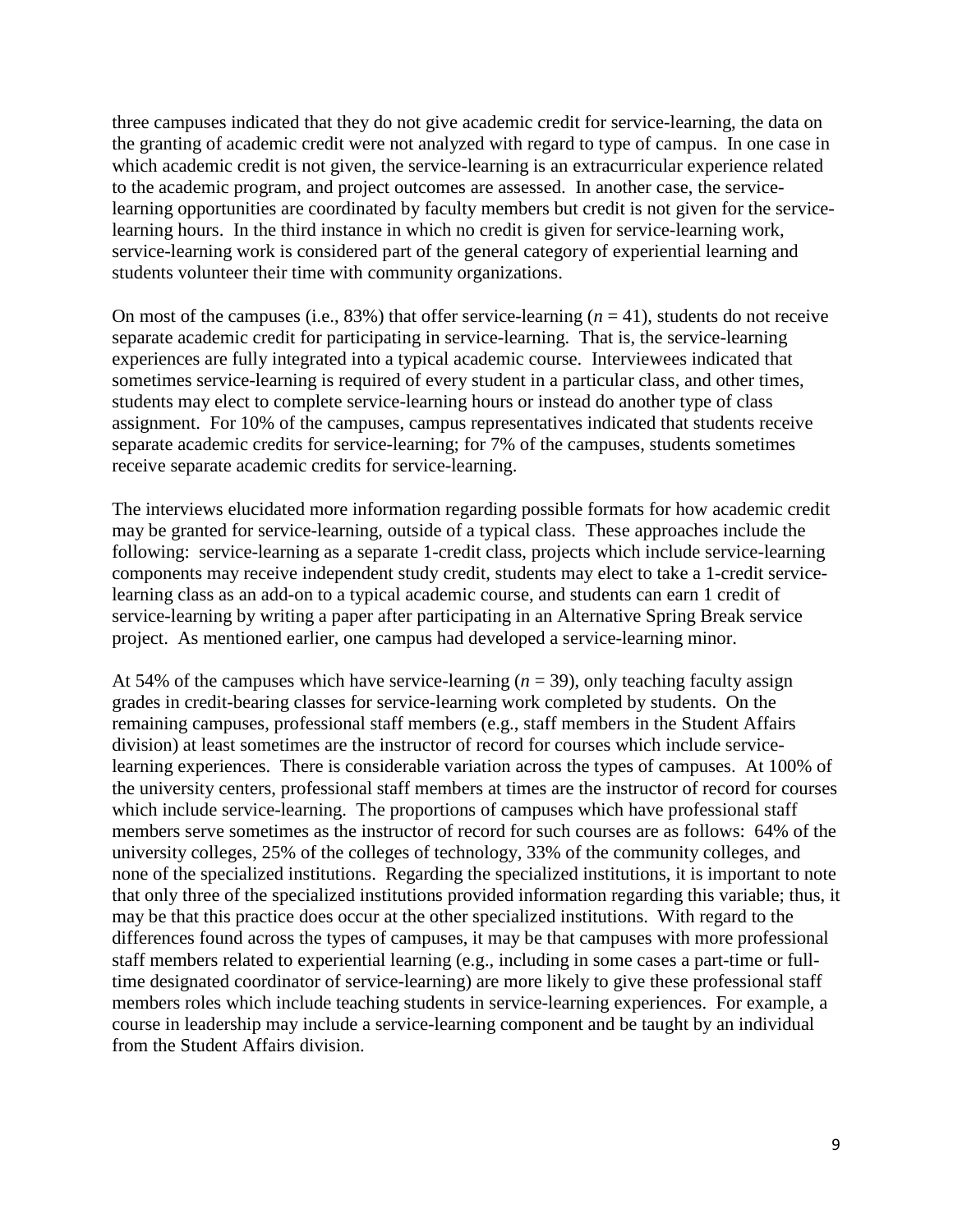three campuses indicated that they do not give academic credit for service-learning, the data on the granting of academic credit were not analyzed with regard to type of campus. In one case in which academic credit is not given, the service-learning is an extracurricular experience related to the academic program, and project outcomes are assessed. In another case, the servicelearning opportunities are coordinated by faculty members but credit is not given for the servicelearning hours. In the third instance in which no credit is given for service-learning work, service-learning work is considered part of the general category of experiential learning and students volunteer their time with community organizations.

On most of the campuses (i.e.,  $83\%$ ) that offer service-learning ( $n = 41$ ), students do not receive separate academic credit for participating in service-learning. That is, the service-learning experiences are fully integrated into a typical academic course. Interviewees indicated that sometimes service-learning is required of every student in a particular class, and other times, students may elect to complete service-learning hours or instead do another type of class assignment. For 10% of the campuses, campus representatives indicated that students receive separate academic credits for service-learning; for 7% of the campuses, students sometimes receive separate academic credits for service-learning.

The interviews elucidated more information regarding possible formats for how academic credit may be granted for service-learning, outside of a typical class. These approaches include the following: service-learning as a separate 1-credit class, projects which include service-learning components may receive independent study credit, students may elect to take a 1-credit servicelearning class as an add-on to a typical academic course, and students can earn 1 credit of service-learning by writing a paper after participating in an Alternative Spring Break service project. As mentioned earlier, one campus had developed a service-learning minor.

At 54% of the campuses which have service-learning  $(n = 39)$ , only teaching faculty assign grades in credit-bearing classes for service-learning work completed by students. On the remaining campuses, professional staff members (e.g., staff members in the Student Affairs division) at least sometimes are the instructor of record for courses which include servicelearning experiences. There is considerable variation across the types of campuses. At 100% of the university centers, professional staff members at times are the instructor of record for courses which include service-learning. The proportions of campuses which have professional staff members serve sometimes as the instructor of record for such courses are as follows: 64% of the university colleges, 25% of the colleges of technology, 33% of the community colleges, and none of the specialized institutions. Regarding the specialized institutions, it is important to note that only three of the specialized institutions provided information regarding this variable; thus, it may be that this practice does occur at the other specialized institutions. With regard to the differences found across the types of campuses, it may be that campuses with more professional staff members related to experiential learning (e.g., including in some cases a part-time or fulltime designated coordinator of service-learning) are more likely to give these professional staff members roles which include teaching students in service-learning experiences. For example, a course in leadership may include a service-learning component and be taught by an individual from the Student Affairs division.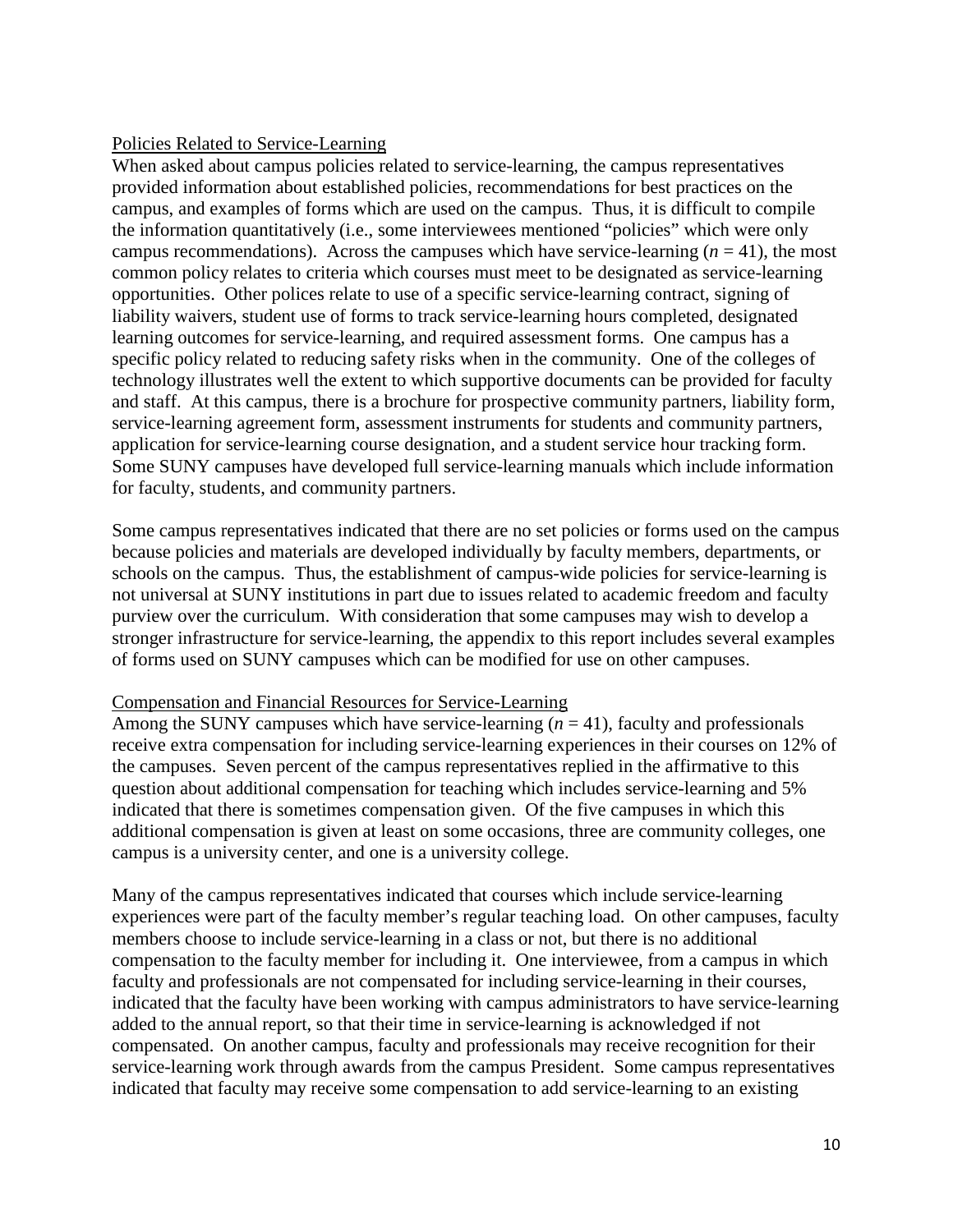### Policies Related to Service-Learning

When asked about campus policies related to service-learning, the campus representatives provided information about established policies, recommendations for best practices on the campus, and examples of forms which are used on the campus. Thus, it is difficult to compile the information quantitatively (i.e., some interviewees mentioned "policies" which were only campus recommendations). Across the campuses which have service-learning  $(n = 41)$ , the most common policy relates to criteria which courses must meet to be designated as service-learning opportunities. Other polices relate to use of a specific service-learning contract, signing of liability waivers, student use of forms to track service-learning hours completed, designated learning outcomes for service-learning, and required assessment forms. One campus has a specific policy related to reducing safety risks when in the community. One of the colleges of technology illustrates well the extent to which supportive documents can be provided for faculty and staff. At this campus, there is a brochure for prospective community partners, liability form, service-learning agreement form, assessment instruments for students and community partners, application for service-learning course designation, and a student service hour tracking form. Some SUNY campuses have developed full service-learning manuals which include information for faculty, students, and community partners.

Some campus representatives indicated that there are no set policies or forms used on the campus because policies and materials are developed individually by faculty members, departments, or schools on the campus. Thus, the establishment of campus-wide policies for service-learning is not universal at SUNY institutions in part due to issues related to academic freedom and faculty purview over the curriculum. With consideration that some campuses may wish to develop a stronger infrastructure for service-learning, the appendix to this report includes several examples of forms used on SUNY campuses which can be modified for use on other campuses.

### Compensation and Financial Resources for Service-Learning

Among the SUNY campuses which have service-learning  $(n = 41)$ , faculty and professionals receive extra compensation for including service-learning experiences in their courses on 12% of the campuses. Seven percent of the campus representatives replied in the affirmative to this question about additional compensation for teaching which includes service-learning and 5% indicated that there is sometimes compensation given. Of the five campuses in which this additional compensation is given at least on some occasions, three are community colleges, one campus is a university center, and one is a university college.

Many of the campus representatives indicated that courses which include service-learning experiences were part of the faculty member's regular teaching load. On other campuses, faculty members choose to include service-learning in a class or not, but there is no additional compensation to the faculty member for including it. One interviewee, from a campus in which faculty and professionals are not compensated for including service-learning in their courses, indicated that the faculty have been working with campus administrators to have service-learning added to the annual report, so that their time in service-learning is acknowledged if not compensated. On another campus, faculty and professionals may receive recognition for their service-learning work through awards from the campus President. Some campus representatives indicated that faculty may receive some compensation to add service-learning to an existing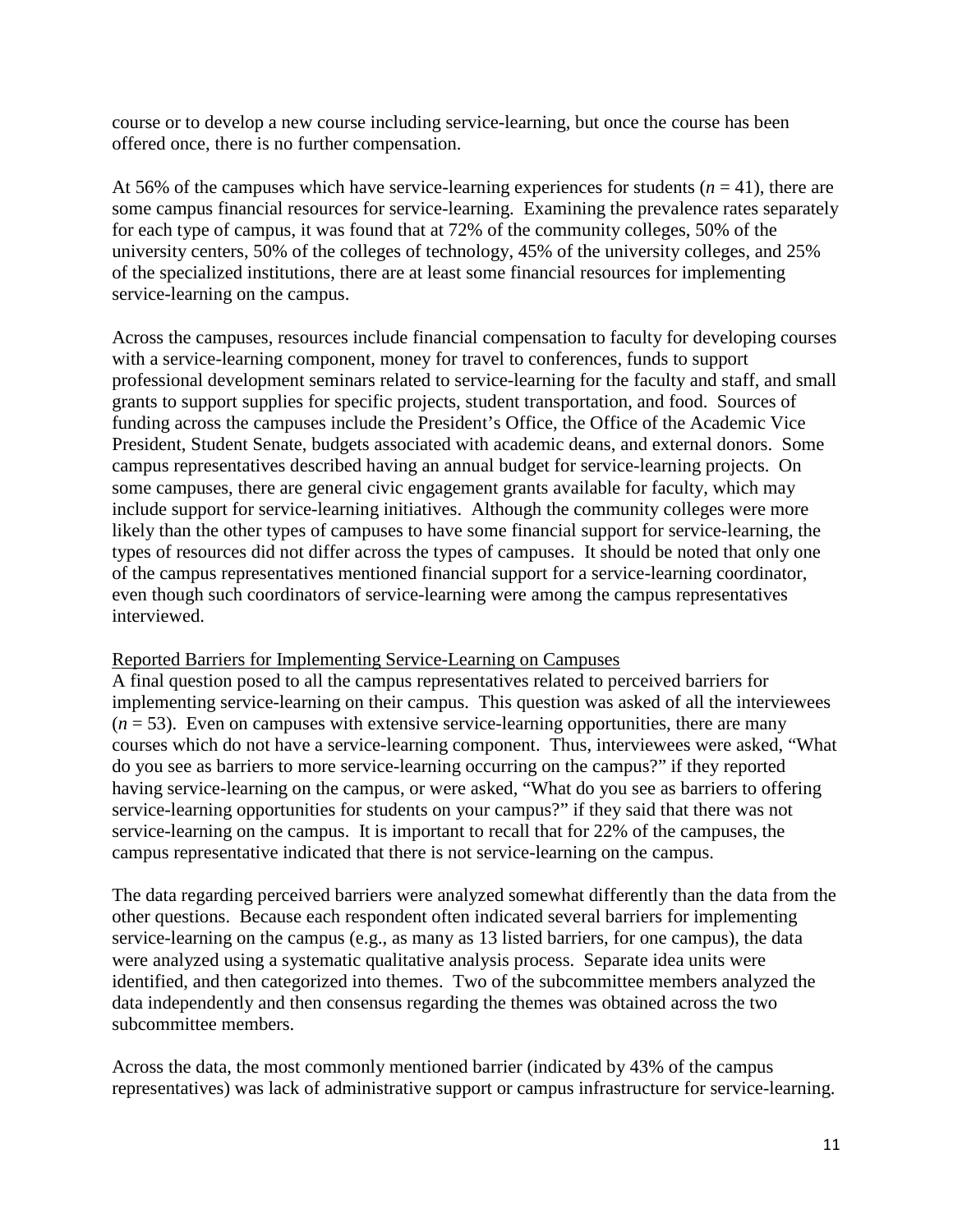course or to develop a new course including service-learning, but once the course has been offered once, there is no further compensation.

At 56% of the campuses which have service-learning experiences for students  $(n = 41)$ , there are some campus financial resources for service-learning. Examining the prevalence rates separately for each type of campus, it was found that at 72% of the community colleges, 50% of the university centers, 50% of the colleges of technology, 45% of the university colleges, and 25% of the specialized institutions, there are at least some financial resources for implementing service-learning on the campus.

Across the campuses, resources include financial compensation to faculty for developing courses with a service-learning component, money for travel to conferences, funds to support professional development seminars related to service-learning for the faculty and staff, and small grants to support supplies for specific projects, student transportation, and food. Sources of funding across the campuses include the President's Office, the Office of the Academic Vice President, Student Senate, budgets associated with academic deans, and external donors. Some campus representatives described having an annual budget for service-learning projects. On some campuses, there are general civic engagement grants available for faculty, which may include support for service-learning initiatives. Although the community colleges were more likely than the other types of campuses to have some financial support for service-learning, the types of resources did not differ across the types of campuses. It should be noted that only one of the campus representatives mentioned financial support for a service-learning coordinator, even though such coordinators of service-learning were among the campus representatives interviewed.

### Reported Barriers for Implementing Service-Learning on Campuses

A final question posed to all the campus representatives related to perceived barriers for implementing service-learning on their campus. This question was asked of all the interviewees  $(n = 53)$ . Even on campuses with extensive service-learning opportunities, there are many courses which do not have a service-learning component. Thus, interviewees were asked, "What do you see as barriers to more service-learning occurring on the campus?" if they reported having service-learning on the campus, or were asked, "What do you see as barriers to offering service-learning opportunities for students on your campus?" if they said that there was not service-learning on the campus. It is important to recall that for 22% of the campuses, the campus representative indicated that there is not service-learning on the campus.

The data regarding perceived barriers were analyzed somewhat differently than the data from the other questions. Because each respondent often indicated several barriers for implementing service-learning on the campus (e.g., as many as 13 listed barriers, for one campus), the data were analyzed using a systematic qualitative analysis process. Separate idea units were identified, and then categorized into themes. Two of the subcommittee members analyzed the data independently and then consensus regarding the themes was obtained across the two subcommittee members.

Across the data, the most commonly mentioned barrier (indicated by 43% of the campus representatives) was lack of administrative support or campus infrastructure for service-learning.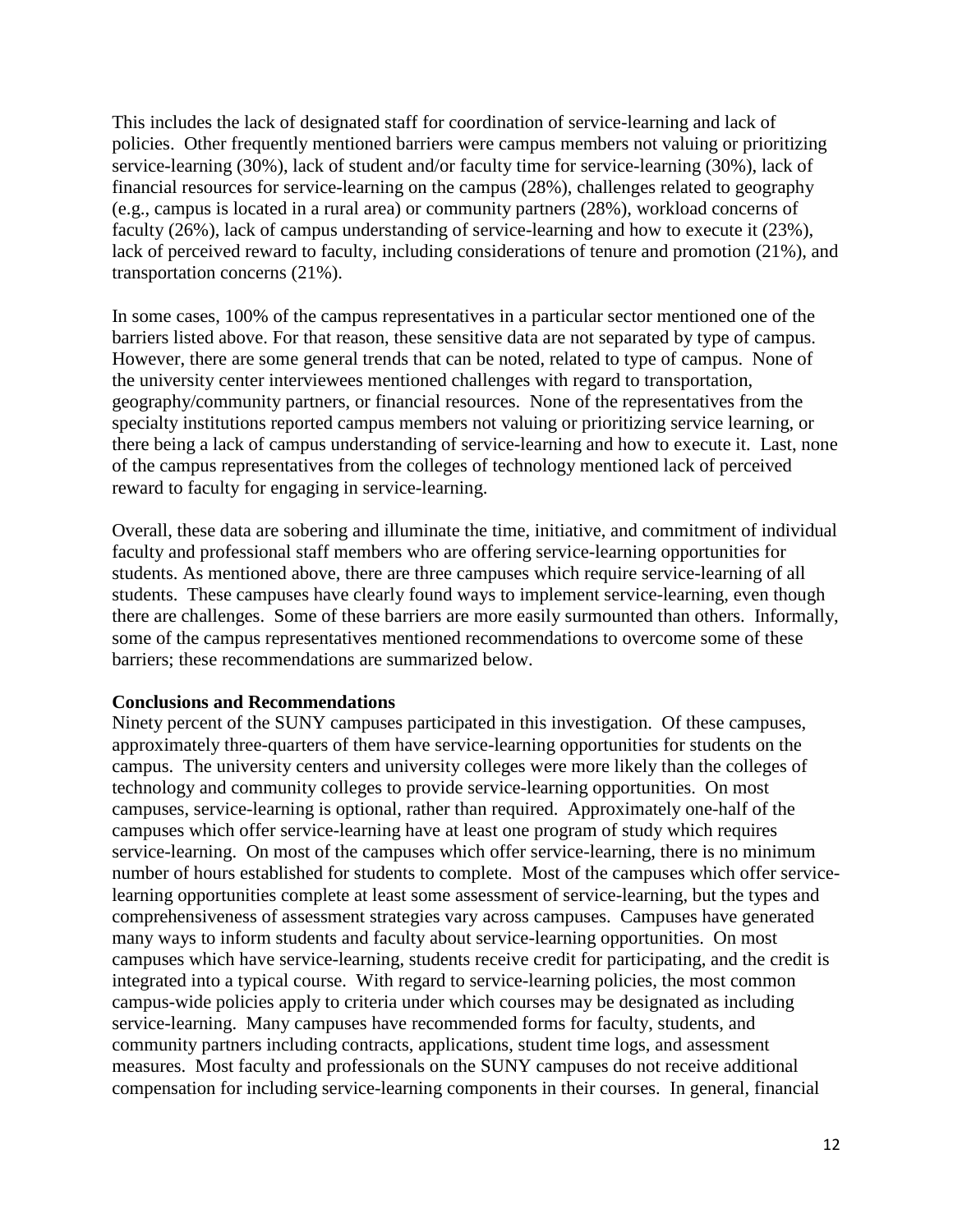This includes the lack of designated staff for coordination of service-learning and lack of policies. Other frequently mentioned barriers were campus members not valuing or prioritizing service-learning (30%), lack of student and/or faculty time for service-learning (30%), lack of financial resources for service-learning on the campus (28%), challenges related to geography (e.g., campus is located in a rural area) or community partners (28%), workload concerns of faculty (26%), lack of campus understanding of service-learning and how to execute it (23%), lack of perceived reward to faculty, including considerations of tenure and promotion (21%), and transportation concerns (21%).

In some cases, 100% of the campus representatives in a particular sector mentioned one of the barriers listed above. For that reason, these sensitive data are not separated by type of campus. However, there are some general trends that can be noted, related to type of campus. None of the university center interviewees mentioned challenges with regard to transportation, geography/community partners, or financial resources. None of the representatives from the specialty institutions reported campus members not valuing or prioritizing service learning, or there being a lack of campus understanding of service-learning and how to execute it. Last, none of the campus representatives from the colleges of technology mentioned lack of perceived reward to faculty for engaging in service-learning.

Overall, these data are sobering and illuminate the time, initiative, and commitment of individual faculty and professional staff members who are offering service-learning opportunities for students. As mentioned above, there are three campuses which require service-learning of all students. These campuses have clearly found ways to implement service-learning, even though there are challenges. Some of these barriers are more easily surmounted than others. Informally, some of the campus representatives mentioned recommendations to overcome some of these barriers; these recommendations are summarized below.

### **Conclusions and Recommendations**

Ninety percent of the SUNY campuses participated in this investigation. Of these campuses, approximately three-quarters of them have service-learning opportunities for students on the campus. The university centers and university colleges were more likely than the colleges of technology and community colleges to provide service-learning opportunities. On most campuses, service-learning is optional, rather than required. Approximately one-half of the campuses which offer service-learning have at least one program of study which requires service-learning. On most of the campuses which offer service-learning, there is no minimum number of hours established for students to complete. Most of the campuses which offer servicelearning opportunities complete at least some assessment of service-learning, but the types and comprehensiveness of assessment strategies vary across campuses. Campuses have generated many ways to inform students and faculty about service-learning opportunities. On most campuses which have service-learning, students receive credit for participating, and the credit is integrated into a typical course. With regard to service-learning policies, the most common campus-wide policies apply to criteria under which courses may be designated as including service-learning. Many campuses have recommended forms for faculty, students, and community partners including contracts, applications, student time logs, and assessment measures. Most faculty and professionals on the SUNY campuses do not receive additional compensation for including service-learning components in their courses. In general, financial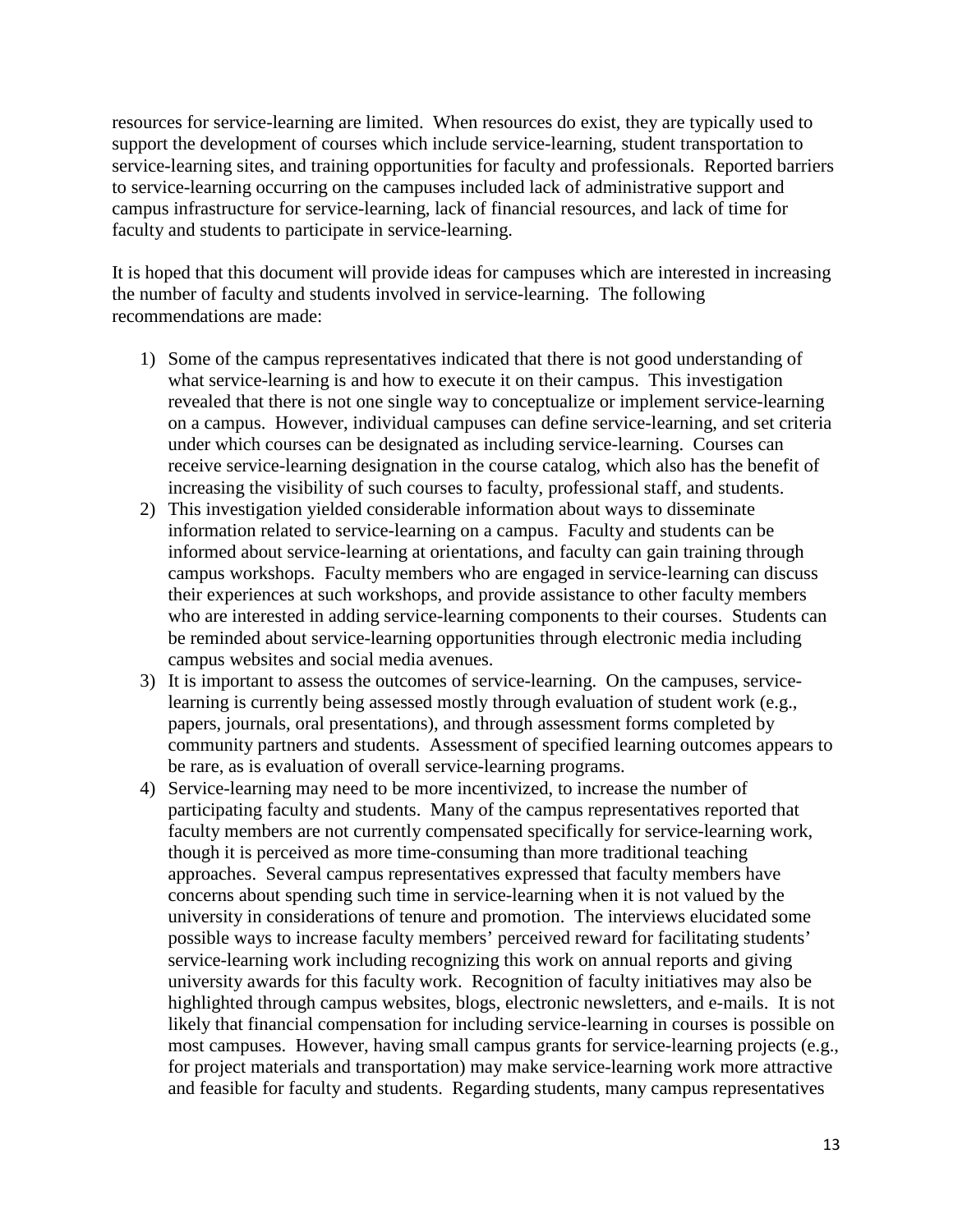resources for service-learning are limited. When resources do exist, they are typically used to support the development of courses which include service-learning, student transportation to service-learning sites, and training opportunities for faculty and professionals. Reported barriers to service-learning occurring on the campuses included lack of administrative support and campus infrastructure for service-learning, lack of financial resources, and lack of time for faculty and students to participate in service-learning.

It is hoped that this document will provide ideas for campuses which are interested in increasing the number of faculty and students involved in service-learning. The following recommendations are made:

- 1) Some of the campus representatives indicated that there is not good understanding of what service-learning is and how to execute it on their campus. This investigation revealed that there is not one single way to conceptualize or implement service-learning on a campus. However, individual campuses can define service-learning, and set criteria under which courses can be designated as including service-learning. Courses can receive service-learning designation in the course catalog, which also has the benefit of increasing the visibility of such courses to faculty, professional staff, and students.
- 2) This investigation yielded considerable information about ways to disseminate information related to service-learning on a campus. Faculty and students can be informed about service-learning at orientations, and faculty can gain training through campus workshops. Faculty members who are engaged in service-learning can discuss their experiences at such workshops, and provide assistance to other faculty members who are interested in adding service-learning components to their courses. Students can be reminded about service-learning opportunities through electronic media including campus websites and social media avenues.
- 3) It is important to assess the outcomes of service-learning. On the campuses, servicelearning is currently being assessed mostly through evaluation of student work (e.g., papers, journals, oral presentations), and through assessment forms completed by community partners and students. Assessment of specified learning outcomes appears to be rare, as is evaluation of overall service-learning programs.
- 4) Service-learning may need to be more incentivized, to increase the number of participating faculty and students. Many of the campus representatives reported that faculty members are not currently compensated specifically for service-learning work, though it is perceived as more time-consuming than more traditional teaching approaches. Several campus representatives expressed that faculty members have concerns about spending such time in service-learning when it is not valued by the university in considerations of tenure and promotion. The interviews elucidated some possible ways to increase faculty members' perceived reward for facilitating students' service-learning work including recognizing this work on annual reports and giving university awards for this faculty work. Recognition of faculty initiatives may also be highlighted through campus websites, blogs, electronic newsletters, and e-mails. It is not likely that financial compensation for including service-learning in courses is possible on most campuses. However, having small campus grants for service-learning projects (e.g., for project materials and transportation) may make service-learning work more attractive and feasible for faculty and students. Regarding students, many campus representatives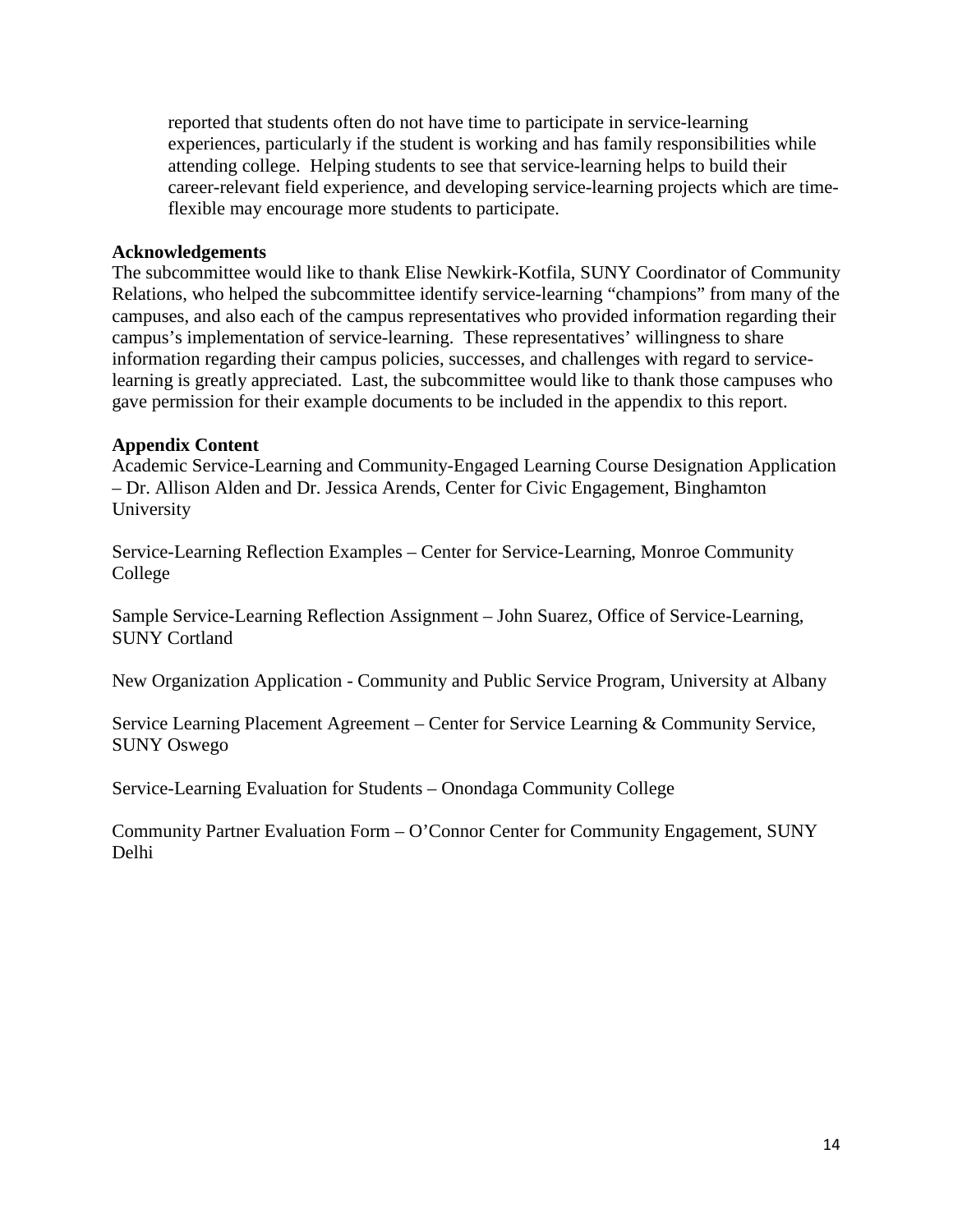reported that students often do not have time to participate in service-learning experiences, particularly if the student is working and has family responsibilities while attending college. Helping students to see that service-learning helps to build their career-relevant field experience, and developing service-learning projects which are timeflexible may encourage more students to participate.

### **Acknowledgements**

The subcommittee would like to thank Elise Newkirk-Kotfila, SUNY Coordinator of Community Relations, who helped the subcommittee identify service-learning "champions" from many of the campuses, and also each of the campus representatives who provided information regarding their campus's implementation of service-learning. These representatives' willingness to share information regarding their campus policies, successes, and challenges with regard to servicelearning is greatly appreciated. Last, the subcommittee would like to thank those campuses who gave permission for their example documents to be included in the appendix to this report.

### **Appendix Content**

Academic Service-Learning and Community-Engaged Learning Course Designation Application – Dr. Allison Alden and Dr. Jessica Arends, Center for Civic Engagement, Binghamton University

Service-Learning Reflection Examples – Center for Service-Learning, Monroe Community College

Sample Service-Learning Reflection Assignment – John Suarez, Office of Service-Learning, SUNY Cortland

New Organization Application - Community and Public Service Program, University at Albany

Service Learning Placement Agreement – Center for Service Learning & Community Service, SUNY Oswego

Service-Learning Evaluation for Students – Onondaga Community College

Community Partner Evaluation Form – O'Connor Center for Community Engagement, SUNY Delhi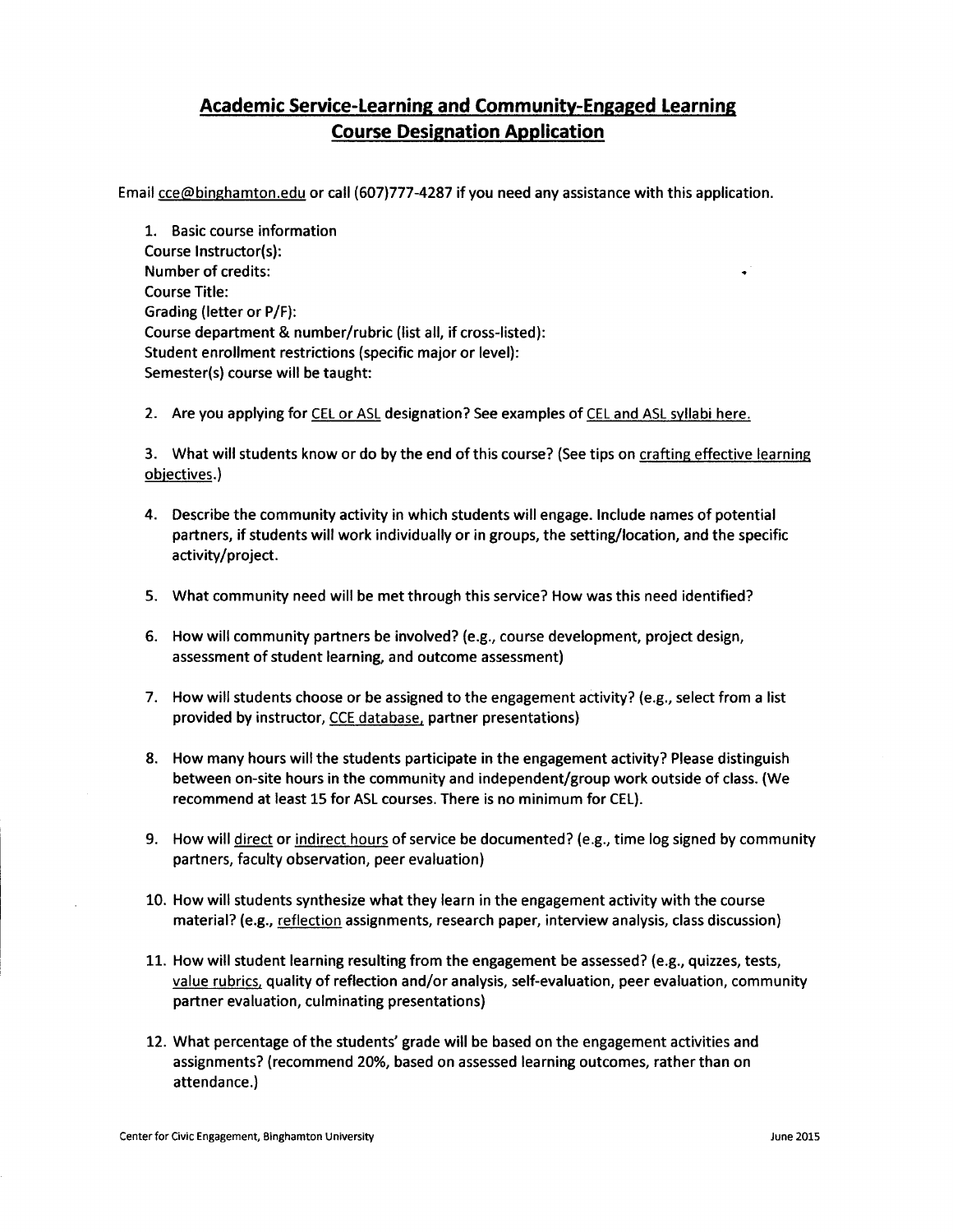### **Academic Service-Learning and Community-Engaged Learning Course Designation Application**

Email cce@binghamton.edu or call (607)777-4287 if you need any assistance with this application.

1. Basic course information Course Instructor(s): **Number of credits: Course Title:** Grading (letter or P/F): Course department & number/rubric (list all, if cross-listed): Student enrollment restrictions (specific major or level): Semester(s) course will be taught:

2. Are you applying for CEL or ASL designation? See examples of CEL and ASL syllabi here.

3. What will students know or do by the end of this course? (See tips on crafting effective learning objectives.)

- 4. Describe the community activity in which students will engage. Include names of potential partners, if students will work individually or in groups, the setting/location, and the specific activity/project.
- 5. What community need will be met through this service? How was this need identified?
- 6. How will community partners be involved? (e.g., course development, project design, assessment of student learning, and outcome assessment)
- 7. How will students choose or be assigned to the engagement activity? (e.g., select from a list provided by instructor, CCE database, partner presentations)
- 8. How many hours will the students participate in the engagement activity? Please distinguish between on-site hours in the community and independent/group work outside of class. (We recommend at least 15 for ASL courses. There is no minimum for CEL).
- 9. How will direct or indirect hours of service be documented? (e.g., time log signed by community partners, faculty observation, peer evaluation)
- 10. How will students synthesize what they learn in the engagement activity with the course material? (e.g., reflection assignments, research paper, interview analysis, class discussion)
- 11. How will student learning resulting from the engagement be assessed? (e.g., quizzes, tests, value rubrics, quality of reflection and/or analysis, self-evaluation, peer evaluation, community partner evaluation, culminating presentations)
- 12. What percentage of the students' grade will be based on the engagement activities and assignments? (recommend 20%, based on assessed learning outcomes, rather than on attendance.)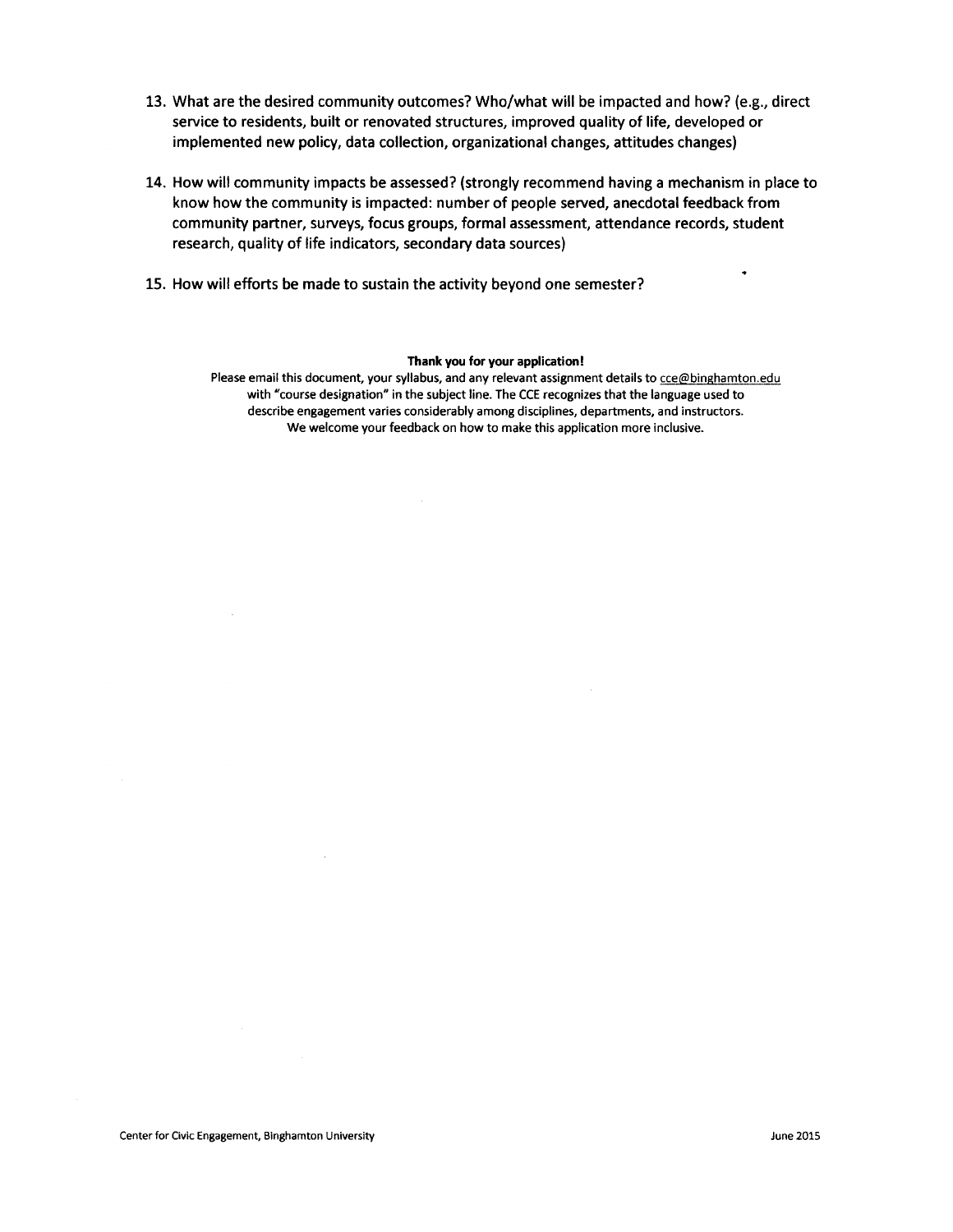- 13. What are the desired community outcomes? Who/what will be impacted and how? (e.g., direct service to residents, built or renovated structures, improved quality of life, developed or implemented new policy, data collection, organizational changes, attitudes changes)
- 14. How will community impacts be assessed? (strongly recommend having a mechanism in place to know how the community is impacted: number of people served, anecdotal feedback from community partner, surveys, focus groups, formal assessment, attendance records, student research, quality of life indicators, secondary data sources)
- 15. How will efforts be made to sustain the activity beyond one semester?

#### Thank you for your application!

Please email this document, your syllabus, and any relevant assignment details to cce@binghamton.edu with "course designation" in the subject line. The CCE recognizes that the language used to describe engagement varies considerably among disciplines, departments, and instructors. We welcome your feedback on how to make this application more inclusive.

٠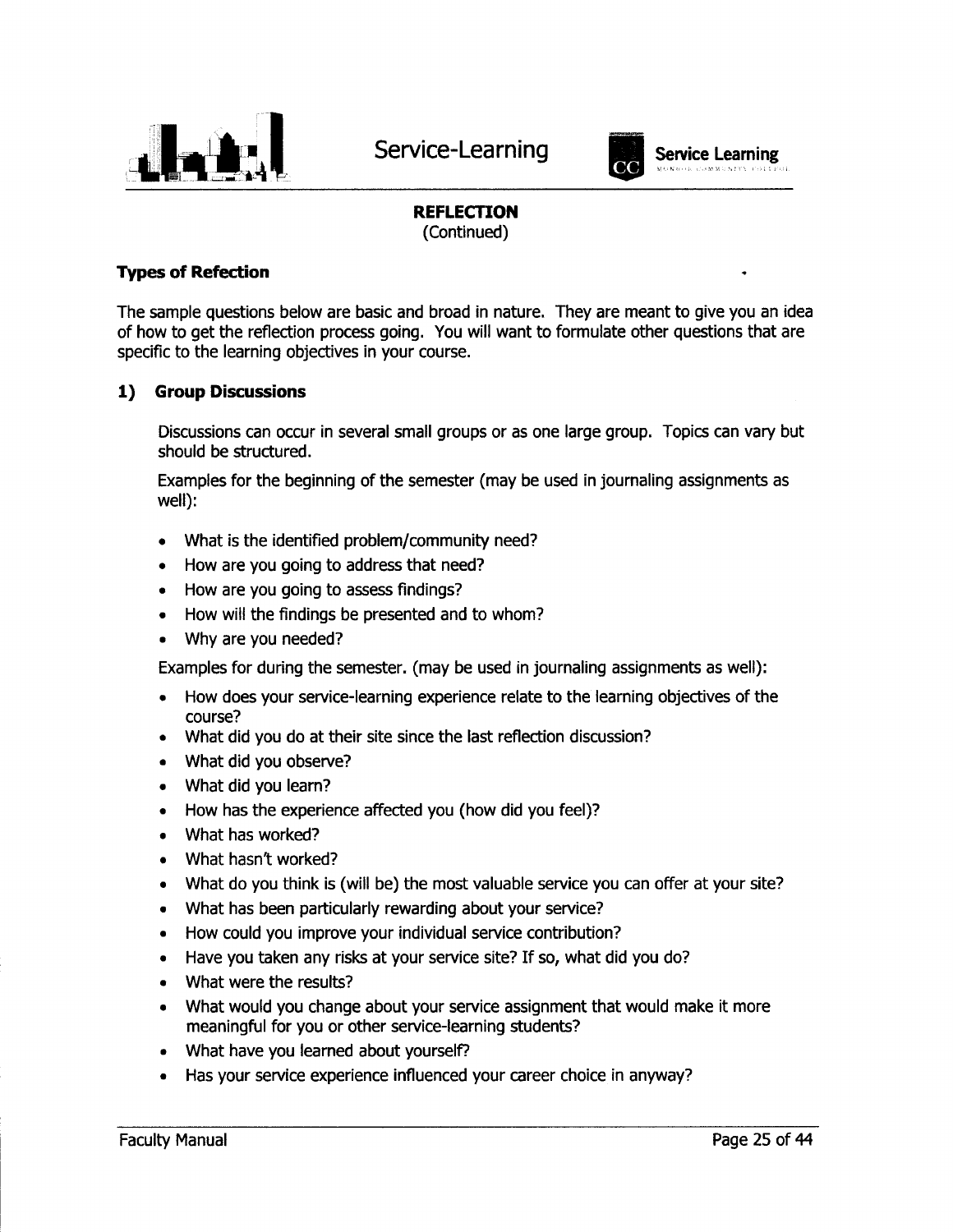

Service-Learning



## **Service Learning**

### **REFLECTION**

(Continued)

### **Types of Refection**

The sample questions below are basic and broad in nature. They are meant to give you an idea of how to get the reflection process going. You will want to formulate other questions that are specific to the learning objectives in your course.

#### **Group Discussions** 1)

Discussions can occur in several small groups or as one large group. Topics can vary but should be structured.

Examples for the beginning of the semester (may be used in journaling assignments as well):

- What is the identified problem/community need?  $\bullet$
- How are you going to address that need?  $\bullet$
- How are you going to assess findings?
- How will the findings be presented and to whom?  $\bullet$
- Why are you needed?

Examples for during the semester. (may be used in journaling assignments as well):

- How does your service-learning experience relate to the learning objectives of the  $\bullet$ course?
- What did you do at their site since the last reflection discussion?
- What did you observe?
- What did you learn?
- How has the experience affected you (how did you feel)?
- What has worked?
- What hasn't worked?
- What do you think is (will be) the most valuable service you can offer at your site?
- What has been particularly rewarding about your service?
- How could you improve your individual service contribution?
- Have you taken any risks at your service site? If so, what did you do?
- What were the results?
- What would you change about your service assignment that would make it more meaningful for you or other service-learning students?
- What have you learned about yourself?
- Has your service experience influenced your career choice in anyway?  $\bullet$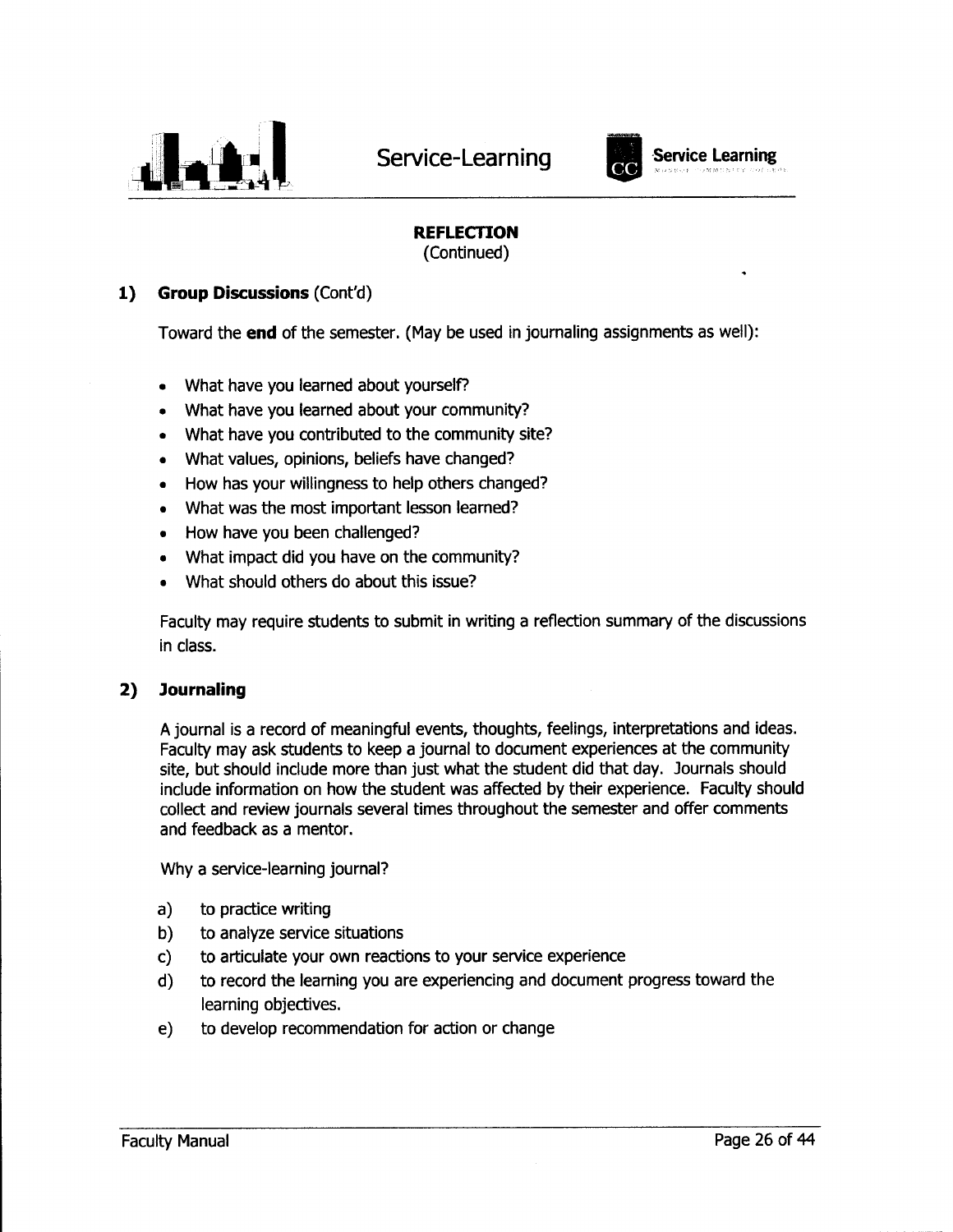



## **REFLECTION**

(Continued)

#### **Group Discussions (Cont'd)**  $1)$

Toward the end of the semester. (May be used in journaling assignments as well):

- What have you learned about yourself?
- What have you learned about your community?
- What have you contributed to the community site?
- What values, opinions, beliefs have changed?
- How has your willingness to help others changed?  $\bullet$
- What was the most important lesson learned?
- How have you been challenged?
- What impact did you have on the community?
- What should others do about this issue?

Faculty may require students to submit in writing a reflection summary of the discussions in class.

#### **Journaling** 2)

A journal is a record of meaningful events, thoughts, feelings, interpretations and ideas. Faculty may ask students to keep a journal to document experiences at the community site, but should include more than just what the student did that day. Journals should include information on how the student was affected by their experience. Faculty should collect and review journals several times throughout the semester and offer comments and feedback as a mentor.

Why a service-learning journal?

- to practice writing  $a)$
- to analyze service situations b)
- to articulate your own reactions to your service experience C)
- d) to record the learning you are experiencing and document progress toward the learning objectives.
- to develop recommendation for action or change  $e)$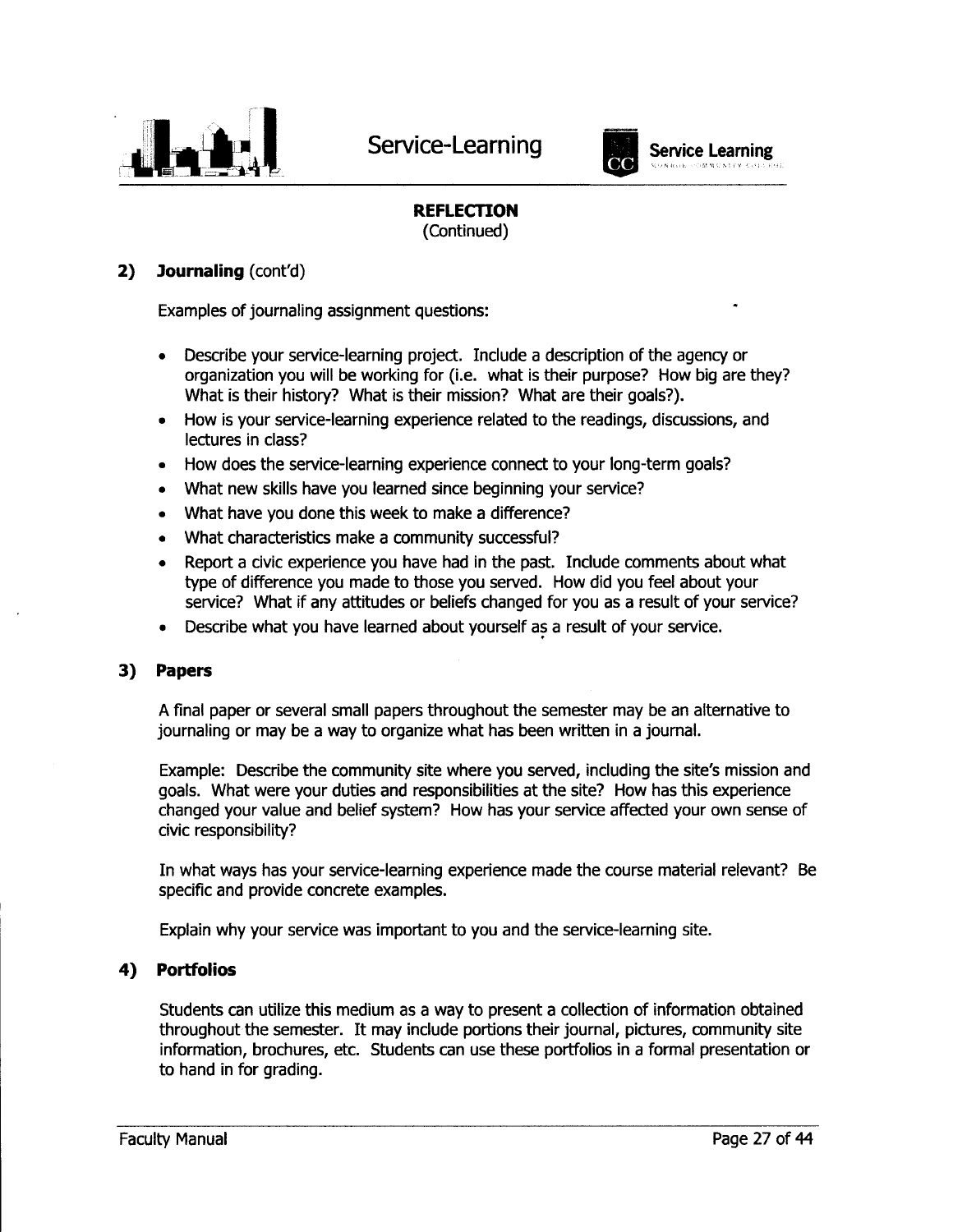



### **Service Learning** COMMUNICY

### **REFLECTION**

(Continued)

#### $2)$ **Journaling** (cont'd)

Examples of journaling assignment questions:

- Describe your service-learning project. Include a description of the agency or  $\bullet$ organization you will be working for (i.e. what is their purpose? How big are they? What is their history? What is their mission? What are their goals?).
- How is your service-learning experience related to the readings, discussions, and  $\bullet$ lectures in class?
- How does the service-learning experience connect to your long-term goals?  $\bullet$
- What new skills have you learned since beginning your service?
- What have you done this week to make a difference?
- What characteristics make a community successful?
- Report a civic experience you have had in the past. Include comments about what type of difference you made to those you served. How did you feel about your service? What if any attitudes or beliefs changed for you as a result of your service?
- Describe what you have learned about yourself as a result of your service.  $\bullet$

#### 3) **Papers**

A final paper or several small papers throughout the semester may be an alternative to journaling or may be a way to organize what has been written in a journal.

Example: Describe the community site where you served, including the site's mission and goals. What were your duties and responsibilities at the site? How has this experience changed your value and belief system? How has your service affected your own sense of civic responsibility?

In what ways has your service-learning experience made the course material relevant? Be specific and provide concrete examples.

Explain why your service was important to you and the service-learning site.

#### **Portfolios** 4)

Students can utilize this medium as a way to present a collection of information obtained throughout the semester. It may include portions their journal, pictures, community site information, brochures, etc. Students can use these portfolios in a formal presentation or to hand in for grading.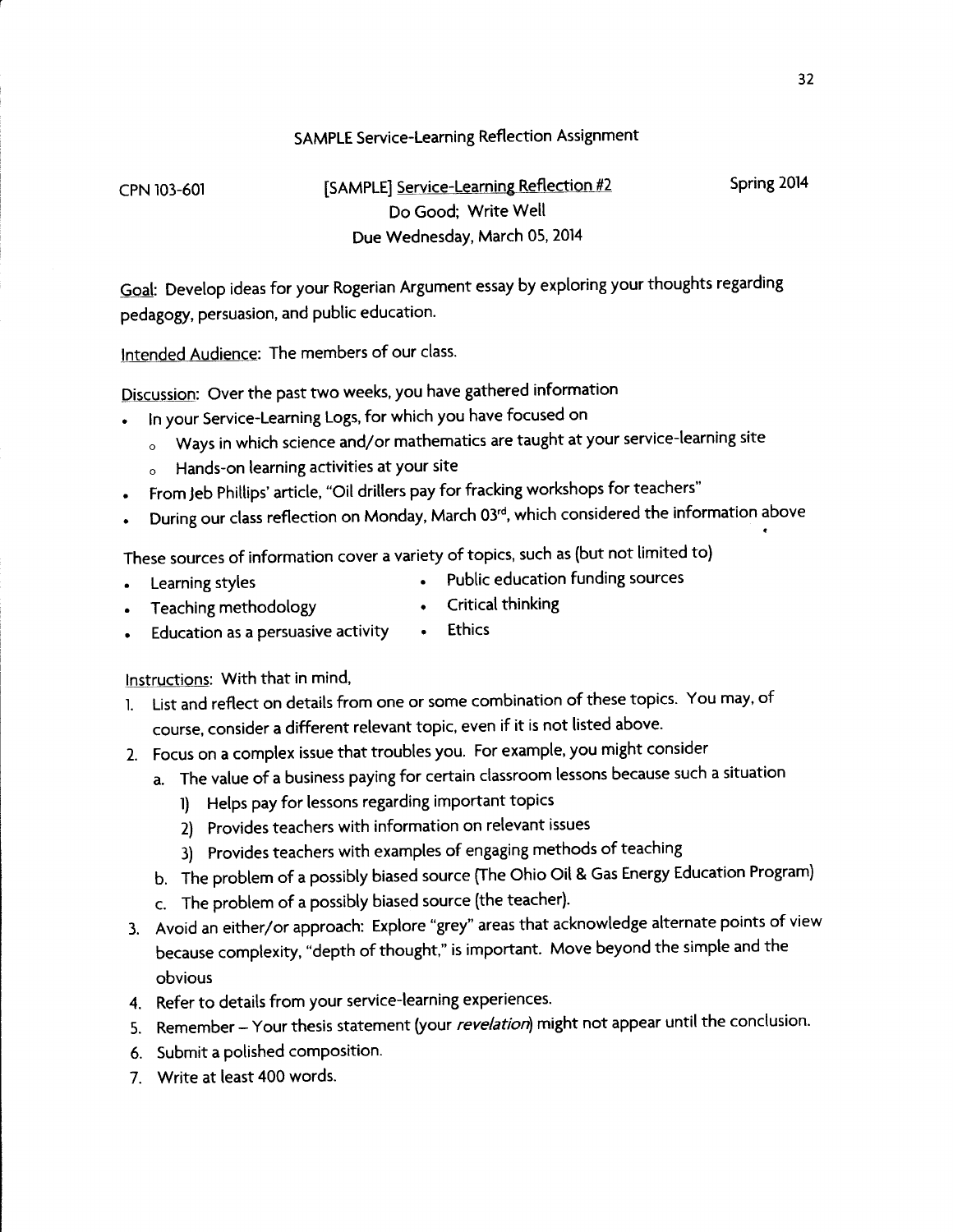### **SAMPLE Service-Learning Reflection Assignment**

CPN 103-601

[SAMPLE] Service-Learning Reflection #2 Do Good; Write Well Due Wednesday, March 05, 2014

Goal: Develop ideas for your Rogerian Argument essay by exploring your thoughts regarding pedagogy, persuasion, and public education.

Intended Audience: The members of our class.

Discussion: Over the past two weeks, you have gathered information

- In your Service-Learning Logs, for which you have focused on
	- o Ways in which science and/or mathematics are taught at your service-learning site
	- o Hands-on learning activities at your site
- From Jeb Phillips' article, "Oil drillers pay for fracking workshops for teachers"
- During our class reflection on Monday, March 03rd, which considered the information above  $\bullet$

These sources of information cover a variety of topics, such as (but not limited to)

Learning styles

- Public education funding sources  $\bullet$ Critical thinking
- **Ethics** Education as a persuasive activity  $\bullet$

Instructions: With that in mind,

Teaching methodology

- List and reflect on details from one or some combination of these topics. You may, of  $1.$ course, consider a different relevant topic, even if it is not listed above.
- 2. Focus on a complex issue that troubles you. For example, you might consider
	- a. The value of a business paying for certain classroom lessons because such a situation
		- 1) Helps pay for lessons regarding important topics
		- 2) Provides teachers with information on relevant issues
		- 3) Provides teachers with examples of engaging methods of teaching
	- b. The problem of a possibly biased source (The Ohio Oil & Gas Energy Education Program)
	- c. The problem of a possibly biased source (the teacher).
- 3. Avoid an either/or approach: Explore "grey" areas that acknowledge alternate points of view because complexity, "depth of thought," is important. Move beyond the simple and the obvious
- 4. Refer to details from your service-learning experiences.
- 5. Remember Your thesis statement (your revelation) might not appear until the conclusion.
- 6. Submit a polished composition.
- 7. Write at least 400 words.

Spring 2014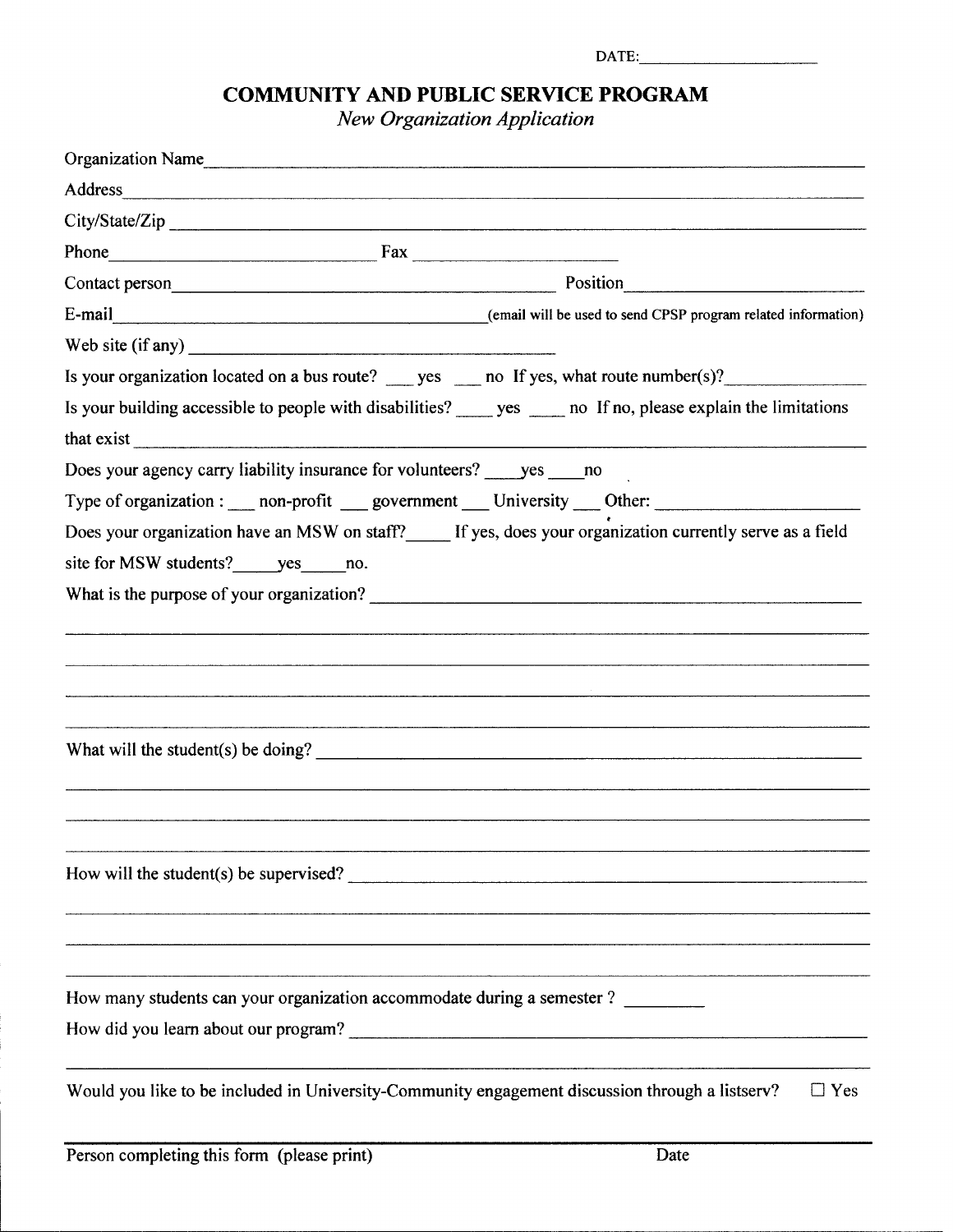| DATE: Management of the state of the state of the state of the state of the state of the state of the state of the state of the state of the state of the state of the state of the state of the state of the state of the sta                                                        |            |  |  |
|---------------------------------------------------------------------------------------------------------------------------------------------------------------------------------------------------------------------------------------------------------------------------------------|------------|--|--|
| <b>COMMUNITY AND PUBLIC SERVICE PROGRAM</b><br><b>New Organization Application</b>                                                                                                                                                                                                    |            |  |  |
| Organization Name                                                                                                                                                                                                                                                                     |            |  |  |
|                                                                                                                                                                                                                                                                                       |            |  |  |
|                                                                                                                                                                                                                                                                                       |            |  |  |
| Phone Fax Fax                                                                                                                                                                                                                                                                         |            |  |  |
|                                                                                                                                                                                                                                                                                       |            |  |  |
|                                                                                                                                                                                                                                                                                       |            |  |  |
| Web site $(if any)$                                                                                                                                                                                                                                                                   |            |  |  |
| Is your organization located on a bus route? ______ yes ______ no If yes, what route number(s)?                                                                                                                                                                                       |            |  |  |
| Is your building accessible to people with disabilities? ______ yes ______ no If no, please explain the limitations<br>that exist                                                                                                                                                     |            |  |  |
| Does your agency carry liability insurance for volunteers? _____ yes _____ no                                                                                                                                                                                                         |            |  |  |
| Type of organization : ___ non-profit ___ government ___ University ___ Other: ____________________                                                                                                                                                                                   |            |  |  |
| Does your organization have an MSW on staff?_____ If yes, does your organization currently serve as a field                                                                                                                                                                           |            |  |  |
| site for MSW students? yes no.                                                                                                                                                                                                                                                        |            |  |  |
|                                                                                                                                                                                                                                                                                       |            |  |  |
|                                                                                                                                                                                                                                                                                       |            |  |  |
|                                                                                                                                                                                                                                                                                       |            |  |  |
| What will the student(s) be doing? $\frac{1}{2}$ and $\frac{1}{2}$ and $\frac{1}{2}$ and $\frac{1}{2}$ and $\frac{1}{2}$ and $\frac{1}{2}$ and $\frac{1}{2}$ and $\frac{1}{2}$ and $\frac{1}{2}$ and $\frac{1}{2}$ and $\frac{1}{2}$ and $\frac{1}{2}$ and $\frac{1}{2}$ and $\frac{$ |            |  |  |
| How will the student(s) be supervised?                                                                                                                                                                                                                                                |            |  |  |
| How many students can your organization accommodate during a semester ? ________                                                                                                                                                                                                      |            |  |  |
| Would you like to be included in University-Community engagement discussion through a listserv?                                                                                                                                                                                       | $\Box$ Yes |  |  |

ļ.

j.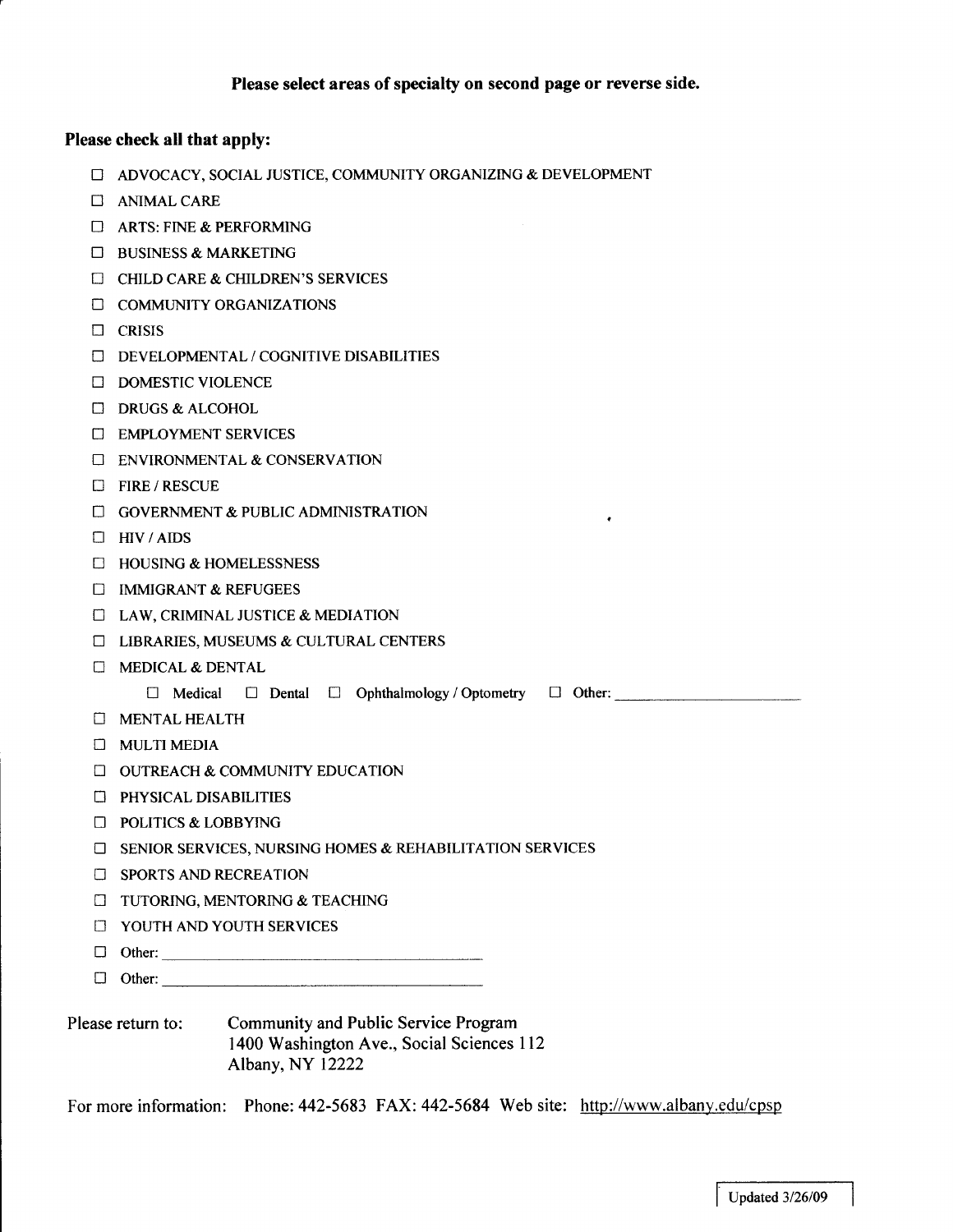### Please select areas of specialty on second page or reverse side.

 $\bullet$ 

### Please check all that apply:

- □ ADVOCACY, SOCIAL JUSTICE, COMMUNITY ORGANIZING & DEVELOPMENT
- **CONTINAL CARE**
- $\Box$  ARTS: FINE & PERFORMING
- $\Box$  BUSINESS & MARKETING
- $\Box$  CHILD CARE & CHILDREN'S SERVICES
- **COMMUNITY ORGANIZATIONS**
- $\Box$  CRISIS
- DEVELOPMENTAL / COGNITIVE DISABILITIES
- **DOMESTIC VIOLENCE**
- $\Box$  DRUGS & ALCOHOL
- **EMPLOYMENT SERVICES**
- **ENVIRONMENTAL & CONSERVATION**
- **EIRE/RESCUE**
- **C GOVERNMENT & PUBLIC ADMINISTRATION**
- $\Box$  HIV / AIDS
- $\Box$  HOUSING & HOMELESSNESS
- **E IMMIGRANT & REFUGEES**
- **E LAW, CRIMINAL JUSTICE & MEDIATION**
- **EL LIBRARIES, MUSEUMS & CULTURAL CENTERS**
- **C MEDICAL & DENTAL** 
	- $\square$  Medical  $\square$  Dental  $\square$  Ophthalmology / Optometry  $\square$  Other:
- **C MENTAL HEALTH**
- $\Box$  MULTI MEDIA
- □ OUTREACH & COMMUNITY EDUCATION
- **El PHYSICAL DISABILITIES**
- $\Box$  POLITICS & LOBBYING
- □ SENIOR SERVICES, NURSING HOMES & REHABILITATION SERVICES
- **EI SPORTS AND RECREATION**
- **I TUTORING, MENTORING & TEACHING**
- **THE YOUTH AND YOUTH SERVICES**
- <u> 1980 La componenta de la componenta de la componenta de la componenta de la componenta de la componenta de l</u>  $\Box$  Other:
- $\Box$  Other:
- Community and Public Service Program Please return to: 1400 Washington Ave., Social Sciences 112 Albany, NY 12222

For more information: Phone: 442-5683 FAX: 442-5684 Web site: http://www.albany.edu/cpsp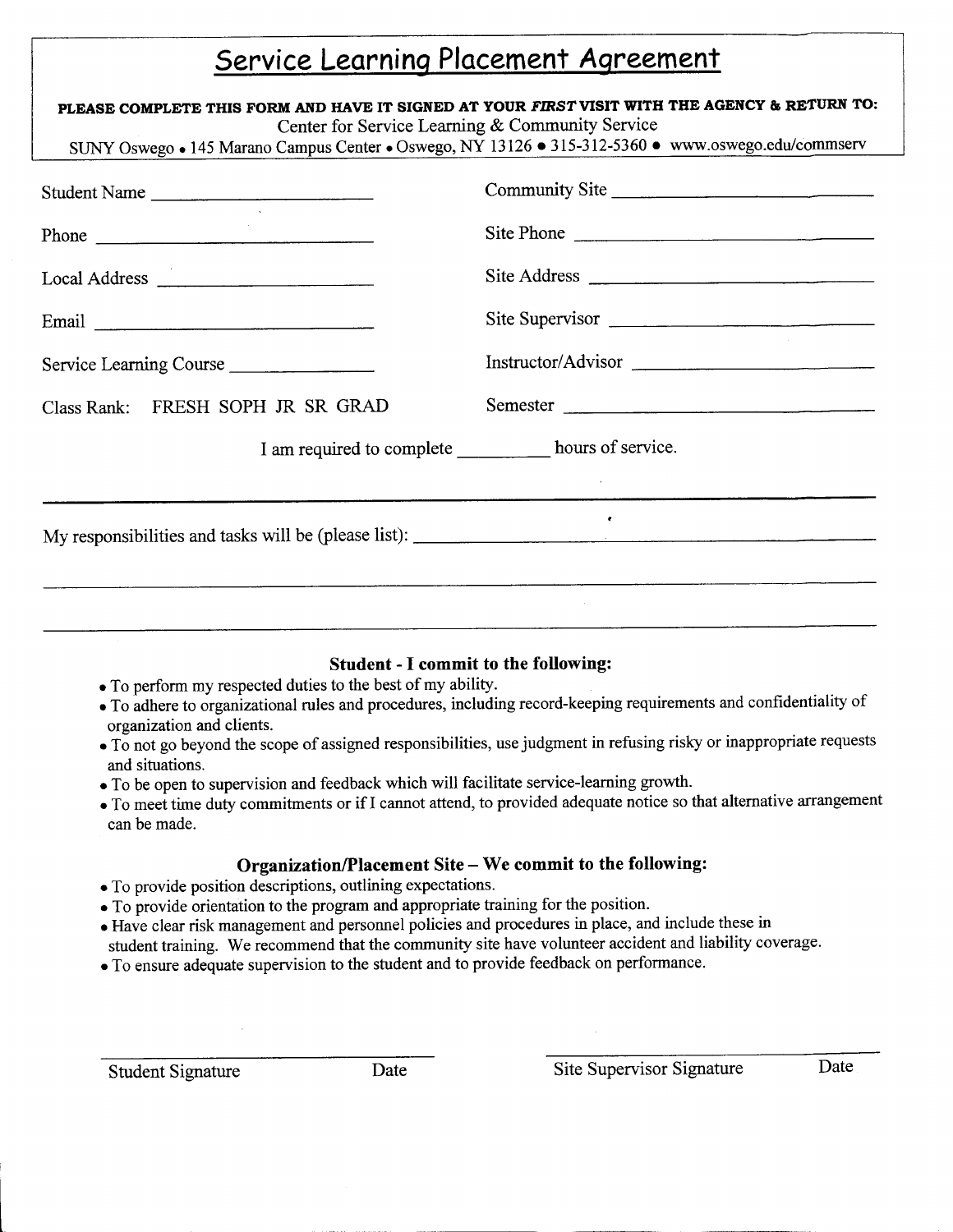## Service Learning Placement Agreement

| PLEASE COMPLETE THIS FORM AND HAVE IT SIGNED AT YOUR FIRST VISIT WITH THE AGENCY & RETURN TO:<br>Center for Service Learning & Community Service<br>SUNY Oswego • 145 Marano Campus Center • Oswego, NY 13126 • 315-312-5360 • www.oswego.edu/commserv |                    |
|--------------------------------------------------------------------------------------------------------------------------------------------------------------------------------------------------------------------------------------------------------|--------------------|
| Student Name                                                                                                                                                                                                                                           | Community Site     |
| Phone                                                                                                                                                                                                                                                  | Site Phone         |
| Local Address                                                                                                                                                                                                                                          | Site Address       |
|                                                                                                                                                                                                                                                        | Site Supervisor    |
| Service Learning Course                                                                                                                                                                                                                                | Instructor/Advisor |
| Class Rank: FRESH SOPH JR SR GRAD                                                                                                                                                                                                                      | Semester           |
| I am required to complete hours of service.                                                                                                                                                                                                            |                    |
|                                                                                                                                                                                                                                                        |                    |
|                                                                                                                                                                                                                                                        |                    |
|                                                                                                                                                                                                                                                        |                    |
|                                                                                                                                                                                                                                                        |                    |

### **Student - I commit to the following:**

- To perform my respected duties to the best of my ability.
- · To adhere to organizational rules and procedures, including record-keeping requirements and confidentiality of organization and clients.
- To not go beyond the scope of assigned responsibilities, use judgment in refusing risky or inappropriate requests and situations.
- To be open to supervision and feedback which will facilitate service-learning growth.
- To meet time duty commitments or if I cannot attend, to provided adequate notice so that alternative arrangement can be made.

### Organization/Placement Site - We commit to the following:

- To provide position descriptions, outlining expectations.
- To provide orientation to the program and appropriate training for the position.
- Have clear risk management and personnel policies and procedures in place, and include these in student training. We recommend that the community site have volunteer accident and liability coverage.
- To ensure adequate supervision to the student and to provide feedback on performance.

Date

Site Supervisor Signature

Date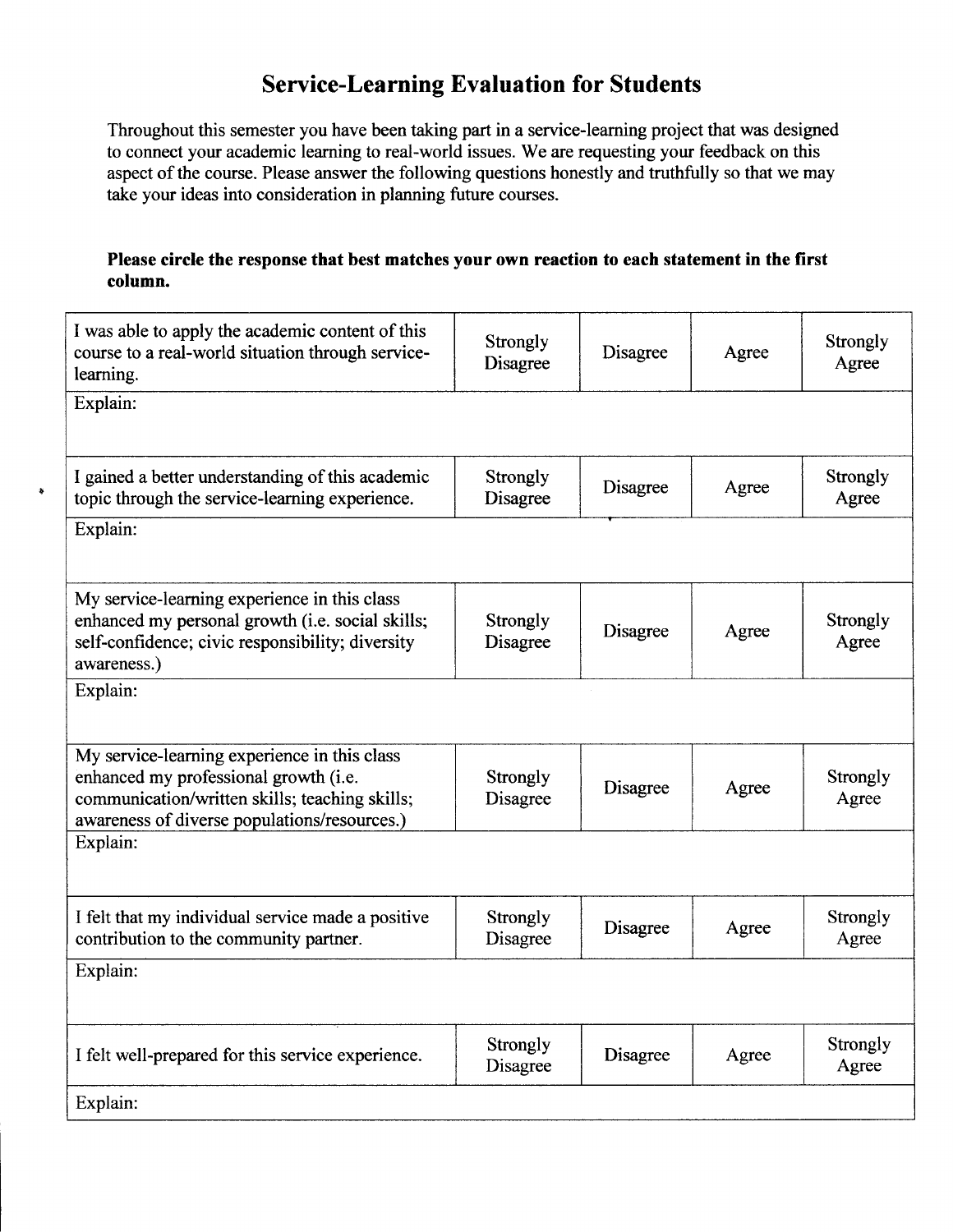## **Service-Learning Evaluation for Students**

Throughout this semester you have been taking part in a service-learning project that was designed to connect your academic learning to real-world issues. We are requesting your feedback on this aspect of the course. Please answer the following questions honestly and truthfully so that we may take your ideas into consideration in planning future courses.

### Please circle the response that best matches your own reaction to each statement in the first column.

| I was able to apply the academic content of this<br>course to a real-world situation through service-<br>learning.                                                                      | Strongly<br>Disagree        | Disagree | Agree | Strongly<br>Agree        |
|-----------------------------------------------------------------------------------------------------------------------------------------------------------------------------------------|-----------------------------|----------|-------|--------------------------|
| Explain:                                                                                                                                                                                |                             |          |       |                          |
|                                                                                                                                                                                         |                             |          |       |                          |
| I gained a better understanding of this academic<br>topic through the service-learning experience.                                                                                      | <b>Strongly</b><br>Disagree | Disagree | Agree | <b>Strongly</b><br>Agree |
| Explain:                                                                                                                                                                                |                             |          |       |                          |
|                                                                                                                                                                                         |                             |          |       |                          |
| My service-learning experience in this class<br>enhanced my personal growth (i.e. social skills;<br>self-confidence; civic responsibility; diversity<br>awareness.)                     | Strongly<br>Disagree        | Disagree | Agree | Strongly<br>Agree        |
| Explain:                                                                                                                                                                                |                             |          |       |                          |
| My service-learning experience in this class<br>enhanced my professional growth (i.e.<br>communication/written skills; teaching skills;<br>awareness of diverse populations/resources.) | <b>Strongly</b><br>Disagree | Disagree | Agree | Strongly<br>Agree        |
| Explain:                                                                                                                                                                                |                             |          |       |                          |
| I felt that my individual service made a positive<br>contribution to the community partner.                                                                                             | Strongly<br>Disagree        | Disagree | Agree | Strongly<br>Agree        |
| Explain:                                                                                                                                                                                |                             |          |       |                          |
| I felt well-prepared for this service experience.                                                                                                                                       | Strongly<br>Disagree        | Disagree | Agree | Strongly<br>Agree        |
| Explain:                                                                                                                                                                                |                             |          |       |                          |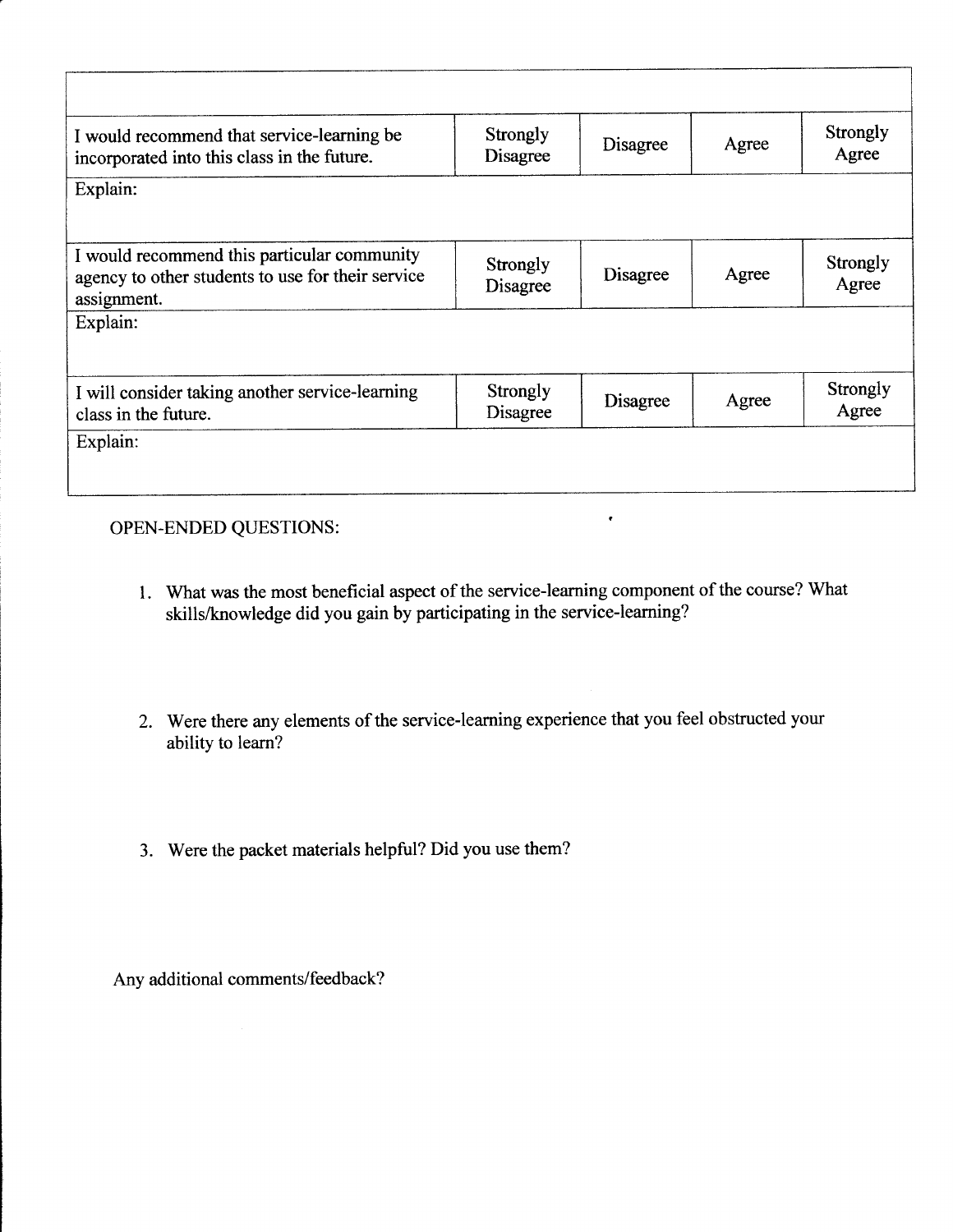| <b>Strongly</b><br><b>Disagree</b> | Disagree | Agree | <b>Strongly</b><br>Agree |
|------------------------------------|----------|-------|--------------------------|
|                                    |          |       |                          |
|                                    |          |       |                          |
| Strongly<br>Disagree               | Disagree | Agree | <b>Strongly</b><br>Agree |
|                                    |          |       |                          |
| <b>Strongly</b><br>Disagree        | Disagree | Agree | Strongly<br>Agree        |
|                                    |          |       |                          |

### OPEN-ENDED QUESTIONS:

1. What was the most beneficial aspect of the service-learning component of the course? What skills/knowledge did you gain by participating in the service-learning?

 $\langle \bullet \rangle$  .  $\langle \bullet \rangle$ 

- 2. Were there any elements of the service-learning experience that you feel obstructed your ability to learn?
- 3. Were the packet materials helpful? Did you use them?

Any additional comments/feedback?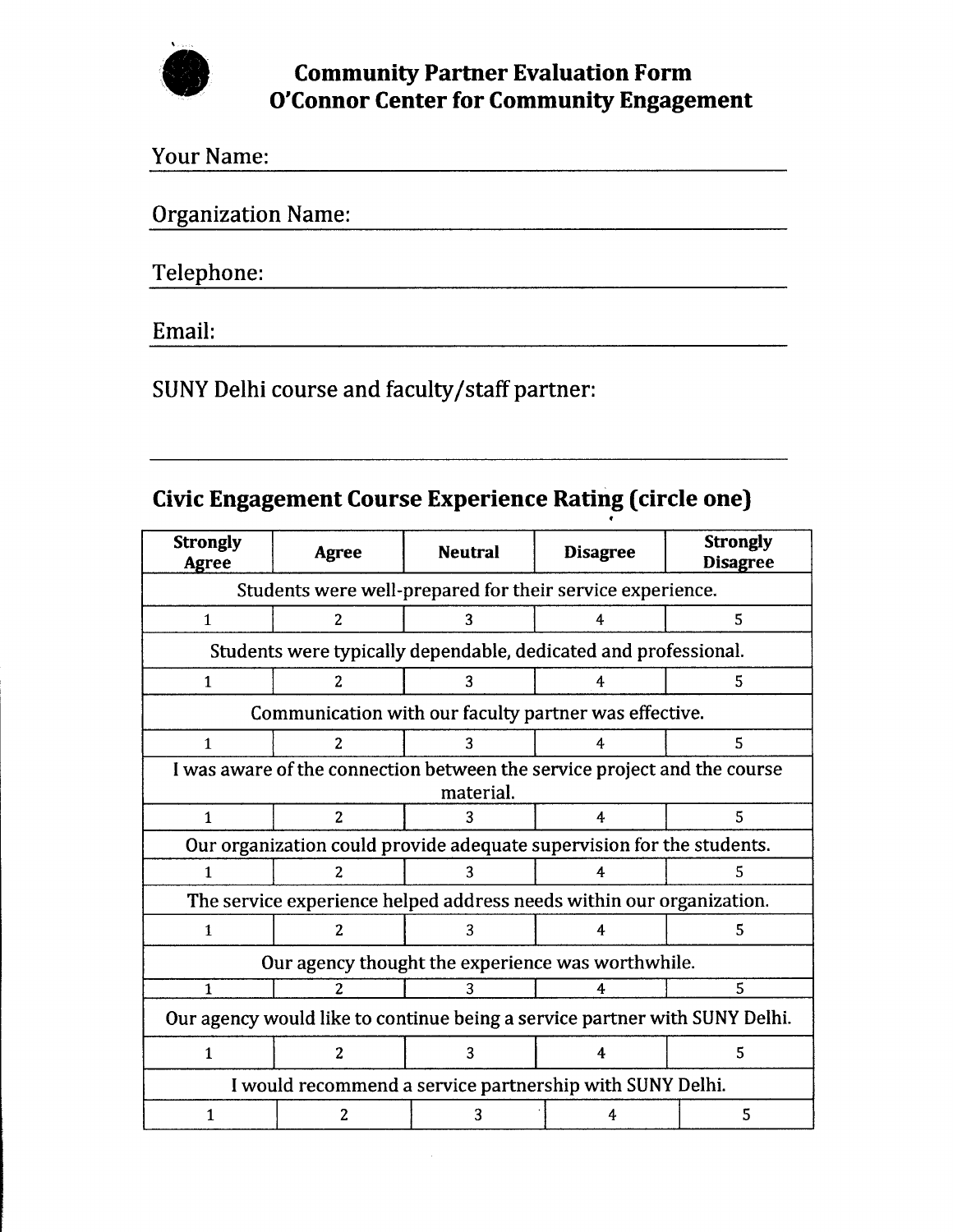

| <b>Your Name:</b>         |  |  |
|---------------------------|--|--|
| <b>Organization Name:</b> |  |  |
| Telephone:                |  |  |
|                           |  |  |

Email:

SUNY Delhi course and faculty/staff partner:

## **Civic Engagement Course Experience Rating (circle one)**

| <b>Strongly</b><br>Agree                                                              | <b>Agree</b>                                                          | <b>Neutral</b>                                                  | <b>Disagree</b> | <b>Strongly</b><br><b>Disagree</b> |
|---------------------------------------------------------------------------------------|-----------------------------------------------------------------------|-----------------------------------------------------------------|-----------------|------------------------------------|
|                                                                                       | Students were well-prepared for their service experience.             |                                                                 |                 |                                    |
| $\mathbf{1}$                                                                          | 2                                                                     | 3                                                               | 4               | 5                                  |
|                                                                                       |                                                                       | Students were typically dependable, dedicated and professional. |                 |                                    |
| $\mathbf{1}$                                                                          | $\overline{2}$                                                        | 3                                                               | 4               | 5                                  |
|                                                                                       |                                                                       | Communication with our faculty partner was effective.           |                 |                                    |
| $\mathbf{1}$                                                                          | $\overline{2}$                                                        | 3                                                               | 4               | 5                                  |
| I was aware of the connection between the service project and the course<br>material. |                                                                       |                                                                 |                 |                                    |
| $\mathbf{1}$                                                                          | $\overline{2}$                                                        | 3                                                               | 4               | 5                                  |
|                                                                                       | Our organization could provide adequate supervision for the students. |                                                                 |                 |                                    |
| $\mathbf{1}$                                                                          | 2                                                                     | 3                                                               | 4               | 5                                  |
| The service experience helped address needs within our organization.                  |                                                                       |                                                                 |                 |                                    |
| $\mathbf{1}$                                                                          | $\overline{2}$                                                        | 3                                                               | 4               | 5                                  |
| Our agency thought the experience was worthwhile.                                     |                                                                       |                                                                 |                 |                                    |
| 1                                                                                     | 2                                                                     | 3                                                               | 4               | 5                                  |
| Our agency would like to continue being a service partner with SUNY Delhi.            |                                                                       |                                                                 |                 |                                    |
| $\mathbf{1}$                                                                          | $\overline{c}$                                                        | 3                                                               | 4               | 5                                  |
| I would recommend a service partnership with SUNY Delhi.                              |                                                                       |                                                                 |                 |                                    |
| 1                                                                                     | 2                                                                     | 3                                                               | 4               | 5                                  |